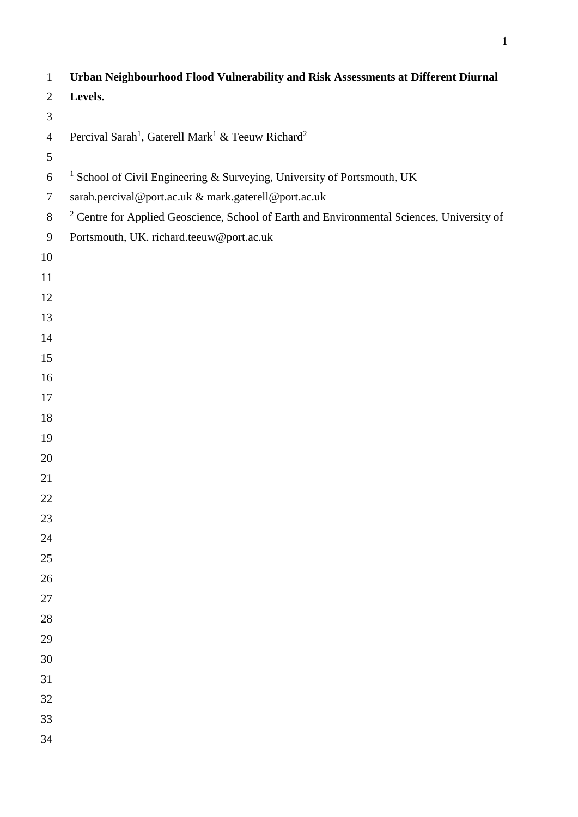| $\mathbf 1$    | Urban Neighbourhood Flood Vulnerability and Risk Assessments at Different Diurnal                     |
|----------------|-------------------------------------------------------------------------------------------------------|
| $\overline{2}$ | Levels.                                                                                               |
| 3              |                                                                                                       |
| $\overline{4}$ | Percival Sarah <sup>1</sup> , Gaterell Mark <sup>1</sup> & Teeuw Richard <sup>2</sup>                 |
| 5              |                                                                                                       |
| 6              | <sup>1</sup> School of Civil Engineering & Surveying, University of Portsmouth, UK                    |
| $\tau$         | sarah.percival@port.ac.uk & mark.gaterell@port.ac.uk                                                  |
| $8\,$          | <sup>2</sup> Centre for Applied Geoscience, School of Earth and Environmental Sciences, University of |
| 9              | Portsmouth, UK. richard.teeuw@port.ac.uk                                                              |
| $10\,$         |                                                                                                       |
| $11\,$         |                                                                                                       |
| 12             |                                                                                                       |
| 13             |                                                                                                       |
| $14\,$         |                                                                                                       |
| 15             |                                                                                                       |
| 16             |                                                                                                       |
| $17\,$         |                                                                                                       |
| $18\,$         |                                                                                                       |
| 19             |                                                                                                       |
| 20             |                                                                                                       |
| 21             |                                                                                                       |
| 22             |                                                                                                       |
| 23             |                                                                                                       |
| 24             |                                                                                                       |
| 25             |                                                                                                       |
| 26             |                                                                                                       |
| 27             |                                                                                                       |
| 28             |                                                                                                       |
| 29             |                                                                                                       |
| 30             |                                                                                                       |
| 31             |                                                                                                       |
| 32             |                                                                                                       |
| 33             |                                                                                                       |
| 34             |                                                                                                       |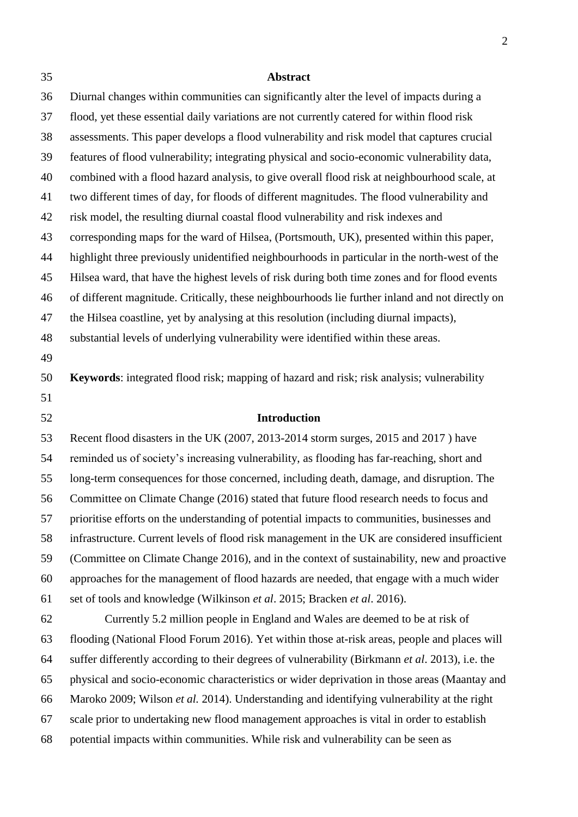| 35 | <b>Abstract</b>                                                                                 |
|----|-------------------------------------------------------------------------------------------------|
| 36 | Diurnal changes within communities can significantly alter the level of impacts during a        |
| 37 | flood, yet these essential daily variations are not currently catered for within flood risk     |
| 38 | assessments. This paper develops a flood vulnerability and risk model that captures crucial     |
| 39 | features of flood vulnerability; integrating physical and socio-economic vulnerability data,    |
| 40 | combined with a flood hazard analysis, to give overall flood risk at neighbourhood scale, at    |
| 41 | two different times of day, for floods of different magnitudes. The flood vulnerability and     |
| 42 | risk model, the resulting diurnal coastal flood vulnerability and risk indexes and              |
| 43 | corresponding maps for the ward of Hilsea, (Portsmouth, UK), presented within this paper,       |
| 44 | highlight three previously unidentified neighbourhoods in particular in the north-west of the   |
| 45 | Hilsea ward, that have the highest levels of risk during both time zones and for flood events   |
| 46 | of different magnitude. Critically, these neighbourhoods lie further inland and not directly on |
| 47 | the Hilsea coastline, yet by analysing at this resolution (including diurnal impacts),          |
| 48 | substantial levels of underlying vulnerability were identified within these areas.              |
| 49 |                                                                                                 |
| 50 | Keywords: integrated flood risk; mapping of hazard and risk; risk analysis; vulnerability       |
| 51 |                                                                                                 |
|    |                                                                                                 |
| 52 | <b>Introduction</b>                                                                             |
| 53 | Recent flood disasters in the UK (2007, 2013-2014 storm surges, 2015 and 2017) have             |
| 54 | reminded us of society's increasing vulnerability, as flooding has far-reaching, short and      |
| 55 | long-term consequences for those concerned, including death, damage, and disruption. The        |
| 56 | Committee on Climate Change (2016) stated that future flood research needs to focus and         |
| 57 | prioritise efforts on the understanding of potential impacts to communities, businesses and     |
| 58 | infrastructure. Current levels of flood risk management in the UK are considered insufficient   |
| 59 | (Committee on Climate Change 2016), and in the context of sustainability, new and proactive     |
| 60 | approaches for the management of flood hazards are needed, that engage with a much wider        |
| 61 | set of tools and knowledge (Wilkinson et al. 2015; Bracken et al. 2016).                        |
| 62 | Currently 5.2 million people in England and Wales are deemed to be at risk of                   |
| 63 | flooding (National Flood Forum 2016). Yet within those at-risk areas, people and places will    |
| 64 | suffer differently according to their degrees of vulnerability (Birkmann et al. 2013), i.e. the |
| 65 | physical and socio-economic characteristics or wider deprivation in those areas (Maantay and    |
| 66 | Maroko 2009; Wilson et al. 2014). Understanding and identifying vulnerability at the right      |
| 67 | scale prior to undertaking new flood management approaches is vital in order to establish       |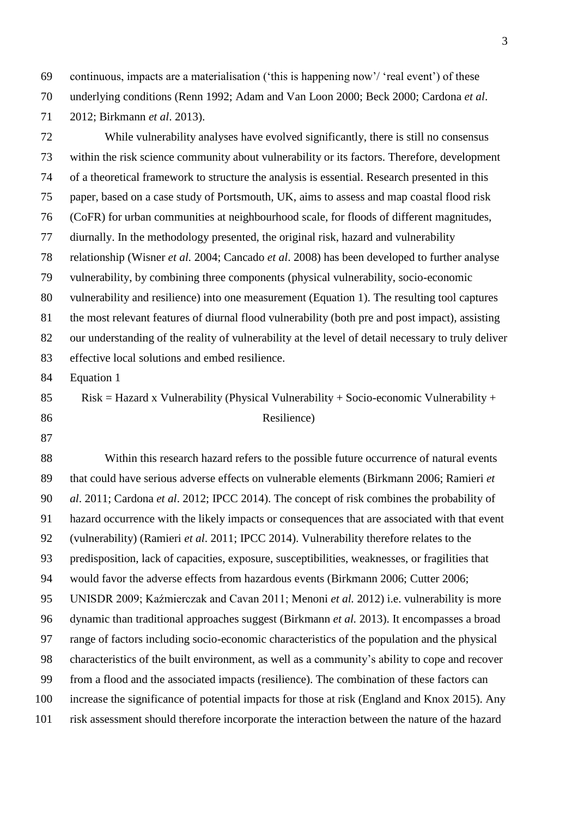continuous, impacts are a materialisation ('this is happening now'/ 'real event') of these underlying conditions (Renn 1992; Adam and Van Loon 2000; Beck 2000; Cardona *et al*. 2012; Birkmann *et al*. 2013).

 While vulnerability analyses have evolved significantly, there is still no consensus within the risk science community about vulnerability or its factors. Therefore, development of a theoretical framework to structure the analysis is essential. Research presented in this paper, based on a case study of Portsmouth, UK, aims to assess and map coastal flood risk (CoFR) for urban communities at neighbourhood scale, for floods of different magnitudes, diurnally. In the methodology presented, the original risk, hazard and vulnerability relationship (Wisner *et al.* 2004; Cancado *et al*. 2008) has been developed to further analyse vulnerability, by combining three components (physical vulnerability, socio-economic vulnerability and resilience) into one measurement (Equation 1). The resulting tool captures the most relevant features of diurnal flood vulnerability (both pre and post impact), assisting our understanding of the reality of vulnerability at the level of detail necessary to truly deliver effective local solutions and embed resilience.

Equation 1

85 Risk = Hazard x Vulnerability (Physical Vulnerability + Socio-economic Vulnerability + Resilience)

 Within this research hazard refers to the possible future occurrence of natural events that could have serious adverse effects on vulnerable elements (Birkmann 2006; Ramieri *et al*. 2011; Cardona *et al*. 2012; IPCC 2014). The concept of risk combines the probability of hazard occurrence with the likely impacts or consequences that are associated with that event (vulnerability) (Ramieri *et al*. 2011; IPCC 2014). Vulnerability therefore relates to the predisposition, lack of capacities, exposure, susceptibilities, weaknesses, or fragilities that would favor the adverse effects from hazardous events (Birkmann 2006; Cutter 2006; UNISDR 2009; Kaźmierczak and Cavan 2011; Menoni *et al.* 2012) i.e. vulnerability is more dynamic than traditional approaches suggest (Birkmann *et al.* 2013). It encompasses a broad range of factors including socio-economic characteristics of the population and the physical characteristics of the built environment, as well as a community's ability to cope and recover from a flood and the associated impacts (resilience). The combination of these factors can increase the significance of potential impacts for those at risk (England and Knox 2015). Any risk assessment should therefore incorporate the interaction between the nature of the hazard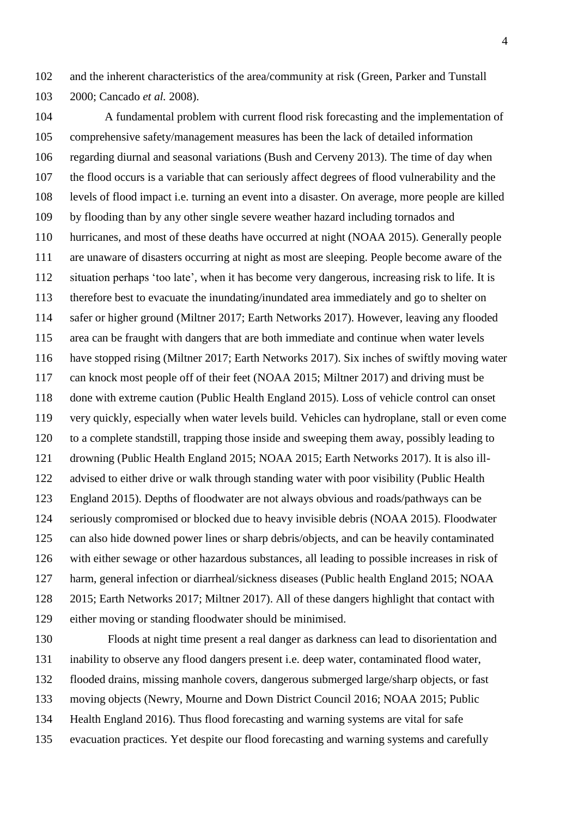and the inherent characteristics of the area/community at risk (Green, Parker and Tunstall 2000; Cancado *et al.* 2008).

 A fundamental problem with current flood risk forecasting and the implementation of comprehensive safety/management measures has been the lack of detailed information regarding diurnal and seasonal variations (Bush and Cerveny 2013). The time of day when the flood occurs is a variable that can seriously affect degrees of flood vulnerability and the levels of flood impact i.e. turning an event into a disaster. On average, more people are killed by flooding than by any other single severe weather hazard including tornados and hurricanes, and most of these deaths have occurred at night (NOAA 2015). Generally people are unaware of disasters occurring at night as most are sleeping. People become aware of the situation perhaps 'too late', when it has become very dangerous, increasing risk to life. It is therefore best to evacuate the inundating/inundated area immediately and go to shelter on safer or higher ground (Miltner 2017; Earth Networks 2017). However, leaving any flooded area can be fraught with dangers that are both immediate and continue when water levels have stopped rising (Miltner 2017; Earth Networks 2017). Six inches of swiftly moving water can knock most people off of their feet (NOAA 2015; Miltner 2017) and driving must be done with extreme caution (Public Health England 2015). Loss of vehicle control can onset very quickly, especially when water levels build. Vehicles can hydroplane, stall or even come to a complete standstill, trapping those inside and sweeping them away, possibly leading to drowning (Public Health England 2015; NOAA 2015; Earth Networks 2017). It is also ill- advised to either drive or walk through standing water with poor visibility (Public Health England 2015). Depths of floodwater are not always obvious and roads/pathways can be seriously compromised or blocked due to heavy invisible debris (NOAA 2015). Floodwater can also hide downed power lines or sharp debris/objects, and can be heavily contaminated with either sewage or other hazardous substances, all leading to possible increases in risk of harm, general infection or diarrheal/sickness diseases (Public health England 2015; NOAA 2015; Earth Networks 2017; Miltner 2017). All of these dangers highlight that contact with either moving or standing floodwater should be minimised.

 Floods at night time present a real danger as darkness can lead to disorientation and inability to observe any flood dangers present i.e. deep water, contaminated flood water, flooded drains, missing manhole covers, dangerous submerged large/sharp objects, or fast moving objects (Newry, Mourne and Down District Council 2016; NOAA 2015; Public Health England 2016). Thus flood forecasting and warning systems are vital for safe evacuation practices. Yet despite our flood forecasting and warning systems and carefully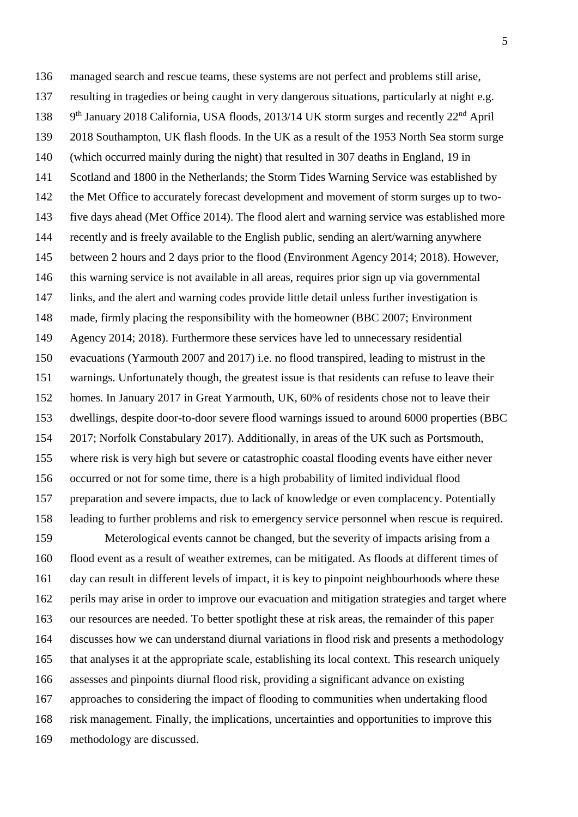managed search and rescue teams, these systems are not perfect and problems still arise, resulting in tragedies or being caught in very dangerous situations, particularly at night e.g. 138 9<sup>th</sup> January 2018 California, USA floods, 2013/14 UK storm surges and recently 22<sup>nd</sup> April 2018 Southampton, UK flash floods. In the UK as a result of the 1953 North Sea storm surge (which occurred mainly during the night) that resulted in 307 deaths in England, 19 in Scotland and 1800 in the Netherlands; the Storm Tides Warning Service was established by the Met Office to accurately forecast development and movement of storm surges up to two- five days ahead (Met Office 2014). The flood alert and warning service was established more recently and is freely available to the English public, sending an alert/warning anywhere between 2 hours and 2 days prior to the flood (Environment Agency 2014; 2018). However, this warning service is not available in all areas, requires prior sign up via governmental links, and the alert and warning codes provide little detail unless further investigation is made, firmly placing the responsibility with the homeowner (BBC 2007; Environment Agency 2014; 2018). Furthermore these services have led to unnecessary residential evacuations (Yarmouth 2007 and 2017) i.e. no flood transpired, leading to mistrust in the warnings. Unfortunately though, the greatest issue is that residents can refuse to leave their homes. In January 2017 in Great Yarmouth, UK, 60% of residents chose not to leave their dwellings, despite door-to-door severe flood warnings issued to around 6000 properties (BBC 2017; Norfolk Constabulary 2017). Additionally, in areas of the UK such as Portsmouth, where risk is very high but severe or catastrophic coastal flooding events have either never occurred or not for some time, there is a high probability of limited individual flood preparation and severe impacts, due to lack of knowledge or even complacency. Potentially leading to further problems and risk to emergency service personnel when rescue is required.

 Meterological events cannot be changed, but the severity of impacts arising from a flood event as a result of weather extremes, can be mitigated. As floods at different times of day can result in different levels of impact, it is key to pinpoint neighbourhoods where these perils may arise in order to improve our evacuation and mitigation strategies and target where our resources are needed. To better spotlight these at risk areas, the remainder of this paper discusses how we can understand diurnal variations in flood risk and presents a methodology that analyses it at the appropriate scale, establishing its local context. This research uniquely assesses and pinpoints diurnal flood risk, providing a significant advance on existing approaches to considering the impact of flooding to communities when undertaking flood risk management. Finally, the implications, uncertainties and opportunities to improve this methodology are discussed.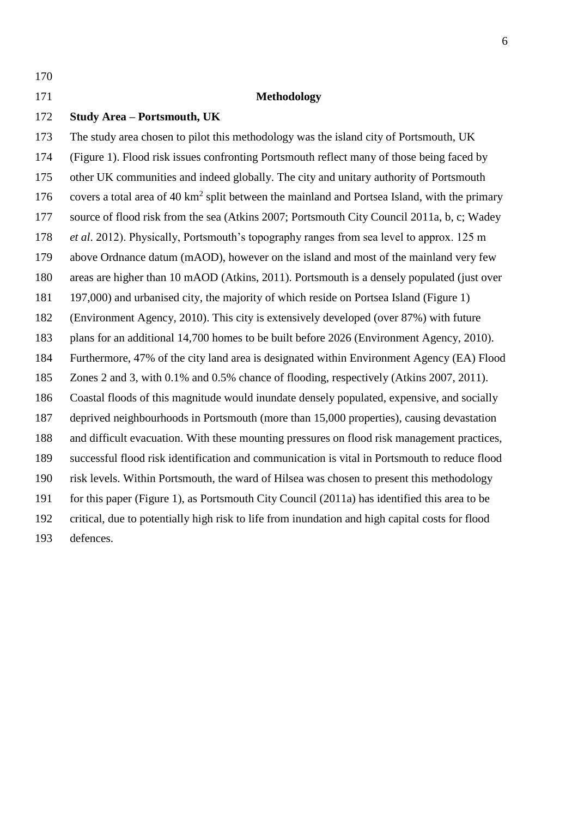| 170 |                                                                                                         |
|-----|---------------------------------------------------------------------------------------------------------|
| 171 | <b>Methodology</b>                                                                                      |
| 172 | <b>Study Area - Portsmouth, UK</b>                                                                      |
| 173 | The study area chosen to pilot this methodology was the island city of Portsmouth, UK                   |
| 174 | (Figure 1). Flood risk issues confronting Portsmouth reflect many of those being faced by               |
| 175 | other UK communities and indeed globally. The city and unitary authority of Portsmouth                  |
| 176 | covers a total area of 40 $\text{km}^2$ split between the mainland and Portsea Island, with the primary |
| 177 | source of flood risk from the sea (Atkins 2007; Portsmouth City Council 2011a, b, c; Wadey              |
| 178 | et al. 2012). Physically, Portsmouth's topography ranges from sea level to approx. 125 m                |
| 179 | above Ordnance datum (mAOD), however on the island and most of the mainland very few                    |
| 180 | areas are higher than 10 mAOD (Atkins, 2011). Portsmouth is a densely populated (just over              |
| 181 | 197,000) and urbanised city, the majority of which reside on Portsea Island (Figure 1)                  |
| 182 | (Environment Agency, 2010). This city is extensively developed (over 87%) with future                   |
| 183 | plans for an additional 14,700 homes to be built before 2026 (Environment Agency, 2010).                |
| 184 | Furthermore, 47% of the city land area is designated within Environment Agency (EA) Flood               |
| 185 | Zones 2 and 3, with 0.1% and 0.5% chance of flooding, respectively (Atkins 2007, 2011).                 |
| 186 | Coastal floods of this magnitude would inundate densely populated, expensive, and socially              |
| 187 | deprived neighbourhoods in Portsmouth (more than 15,000 properties), causing devastation                |
| 188 | and difficult evacuation. With these mounting pressures on flood risk management practices,             |
| 189 | successful flood risk identification and communication is vital in Portsmouth to reduce flood           |
| 190 | risk levels. Within Portsmouth, the ward of Hilsea was chosen to present this methodology               |
| 191 | for this paper (Figure 1), as Portsmouth City Council (2011a) has identified this area to be            |
| 192 | critical, due to potentially high risk to life from inundation and high capital costs for flood         |
| 193 | defences.                                                                                               |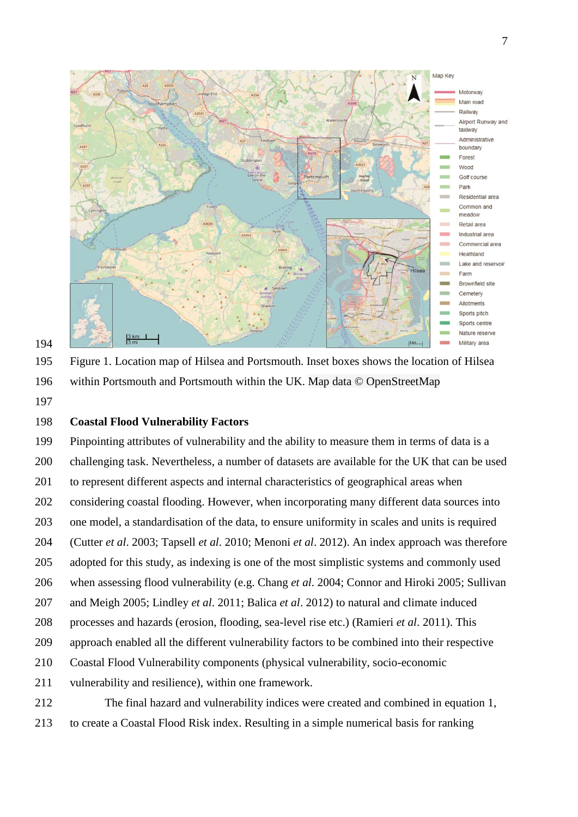

 Figure 1. Location map of Hilsea and Portsmouth. Inset boxes shows the location of Hilsea within Portsmouth and Portsmouth within the UK. Map data © OpenStreetMap

## **Coastal Flood Vulnerability Factors**

 Pinpointing attributes of vulnerability and the ability to measure them in terms of data is a challenging task. Nevertheless, a number of datasets are available for the UK that can be used to represent different aspects and internal characteristics of geographical areas when considering coastal flooding. However, when incorporating many different data sources into one model, a standardisation of the data, to ensure uniformity in scales and units is required (Cutter *et al*. 2003; Tapsell *et al*. 2010; Menoni *et al*. 2012). An index approach was therefore adopted for this study, as indexing is one of the most simplistic systems and commonly used when assessing flood vulnerability (e.g. Chang *et al*. 2004; Connor and Hiroki 2005; Sullivan and Meigh 2005; Lindley *et al*. 2011; Balica *et al*. 2012) to natural and climate induced processes and hazards (erosion, flooding, sea-level rise etc.) (Ramieri *et al*. 2011). This approach enabled all the different vulnerability factors to be combined into their respective Coastal Flood Vulnerability components (physical vulnerability, socio-economic vulnerability and resilience), within one framework.

 The final hazard and vulnerability indices were created and combined in equation 1, to create a Coastal Flood Risk index. Resulting in a simple numerical basis for ranking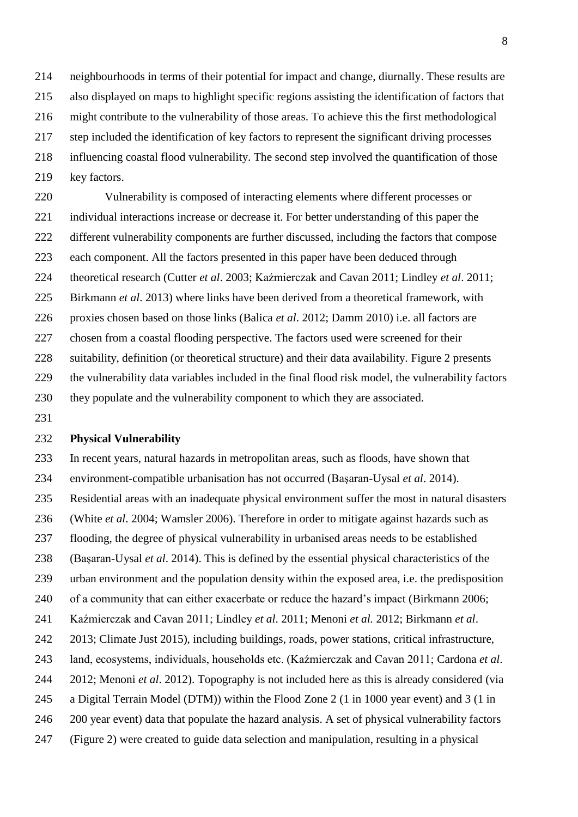neighbourhoods in terms of their potential for impact and change, diurnally. These results are also displayed on maps to highlight specific regions assisting the identification of factors that might contribute to the vulnerability of those areas. To achieve this the first methodological step included the identification of key factors to represent the significant driving processes influencing coastal flood vulnerability. The second step involved the quantification of those key factors.

 Vulnerability is composed of interacting elements where different processes or individual interactions increase or decrease it. For better understanding of this paper the 222 different vulnerability components are further discussed, including the factors that compose each component. All the factors presented in this paper have been deduced through theoretical research (Cutter *et al*. 2003; Kaźmierczak and Cavan 2011; Lindley *et al*. 2011; Birkmann *et al*. 2013) where links have been derived from a theoretical framework, with proxies chosen based on those links (Balica *et al*. 2012; Damm 2010) i.e. all factors are chosen from a coastal flooding perspective. The factors used were screened for their suitability, definition (or theoretical structure) and their data availability. Figure 2 presents the vulnerability data variables included in the final flood risk model, the vulnerability factors they populate and the vulnerability component to which they are associated.

#### **Physical Vulnerability**

 In recent years, natural hazards in metropolitan areas, such as floods, have shown that environment-compatible urbanisation has not occurred (Başaran-Uysal *et al*. 2014). Residential areas with an inadequate physical environment suffer the most in natural disasters (White *et al*. 2004; Wamsler 2006). Therefore in order to mitigate against hazards such as flooding, the degree of physical vulnerability in urbanised areas needs to be established (Başaran-Uysal *et al*. 2014). This is defined by the essential physical characteristics of the urban environment and the population density within the exposed area, i.e. the predisposition of a community that can either exacerbate or reduce the hazard's impact (Birkmann 2006; Kaźmierczak and Cavan 2011; Lindley *et al*. 2011; Menoni *et al.* 2012; Birkmann *et al*. 2013; Climate Just 2015), including buildings, roads, power stations, critical infrastructure, land, ecosystems, individuals, households etc. (Kaźmierczak and Cavan 2011; Cardona *et al*. 2012; Menoni *et al*. 2012). Topography is not included here as this is already considered (via a Digital Terrain Model (DTM)) within the Flood Zone 2 (1 in 1000 year event) and 3 (1 in 200 year event) data that populate the hazard analysis. A set of physical vulnerability factors (Figure 2) were created to guide data selection and manipulation, resulting in a physical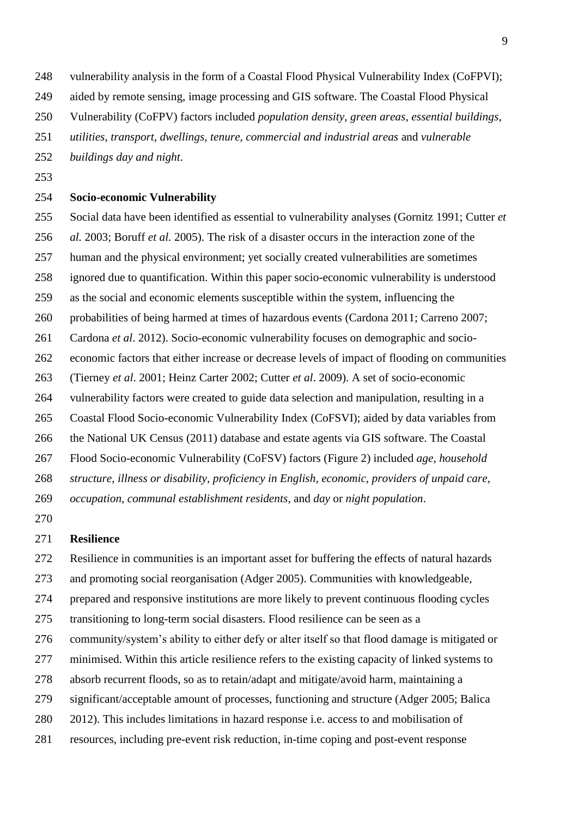- vulnerability analysis in the form of a Coastal Flood Physical Vulnerability Index (CoFPVI);
- aided by remote sensing, image processing and GIS software. The Coastal Flood Physical
- Vulnerability (CoFPV) factors included *population density*, *green areas*, *essential buildings*,
- *utilities*, *transport*, *dwellings*, *tenure*, *commercial and industrial areas* and *vulnerable*
- *buildings day and night*.
- 

## **Socio-economic Vulnerability**

 Social data have been identified as essential to vulnerability analyses (Gornitz 1991; Cutter *et al.* 2003; Boruff *et al.* 2005). The risk of a disaster occurs in the interaction zone of the human and the physical environment; yet socially created vulnerabilities are sometimes ignored due to quantification. Within this paper socio-economic vulnerability is understood as the social and economic elements susceptible within the system, influencing the probabilities of being harmed at times of hazardous events (Cardona 2011; Carreno 2007; Cardona *et al*. 2012). Socio-economic vulnerability focuses on demographic and socio- economic factors that either increase or decrease levels of impact of flooding on communities (Tierney *et al*. 2001; Heinz Carter 2002; Cutter *et al*. 2009). A set of socio-economic vulnerability factors were created to guide data selection and manipulation, resulting in a Coastal Flood Socio-economic Vulnerability Index (CoFSVI); aided by data variables from the National UK Census (2011) database and estate agents via GIS software. The Coastal Flood Socio-economic Vulnerability (CoFSV) factors (Figure 2) included *age*, *household structure*, *illness or disability*, *proficiency in English*, *economic*, *providers of unpaid care*, *occupation*, *communal establishment residents*, and *day* or *night population*.

### **Resilience**

Resilience in communities is an important asset for buffering the effects of natural hazards

and promoting social reorganisation (Adger 2005). Communities with knowledgeable,

- prepared and responsive institutions are more likely to prevent continuous flooding cycles
- transitioning to long-term social disasters. Flood resilience can be seen as a
- community/system's ability to either defy or alter itself so that flood damage is mitigated or
- minimised. Within this article resilience refers to the existing capacity of linked systems to
- absorb recurrent floods, so as to retain/adapt and mitigate/avoid harm, maintaining a
- significant/acceptable amount of processes, functioning and structure (Adger 2005; Balica
- 2012). This includes limitations in hazard response i.e. access to and mobilisation of
- resources, including pre-event risk reduction, in-time coping and post-event response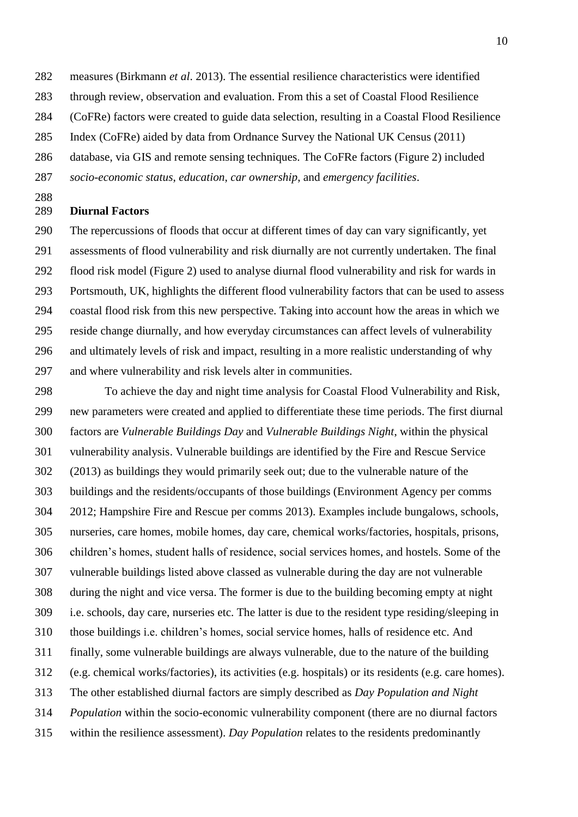measures (Birkmann *et al*. 2013). The essential resilience characteristics were identified

through review, observation and evaluation. From this a set of Coastal Flood Resilience

- (CoFRe) factors were created to guide data selection, resulting in a Coastal Flood Resilience
- Index (CoFRe) aided by data from Ordnance Survey the National UK Census (2011)
- database, via GIS and remote sensing techniques. The CoFRe factors (Figure 2) included
- *socio-economic status*, *education*, *car ownership*, and *emergency facilities*.

#### **Diurnal Factors**

 The repercussions of floods that occur at different times of day can vary significantly, yet assessments of flood vulnerability and risk diurnally are not currently undertaken. The final flood risk model (Figure 2) used to analyse diurnal flood vulnerability and risk for wards in Portsmouth, UK, highlights the different flood vulnerability factors that can be used to assess coastal flood risk from this new perspective. Taking into account how the areas in which we reside change diurnally, and how everyday circumstances can affect levels of vulnerability and ultimately levels of risk and impact, resulting in a more realistic understanding of why and where vulnerability and risk levels alter in communities.

 To achieve the day and night time analysis for Coastal Flood Vulnerability and Risk, new parameters were created and applied to differentiate these time periods. The first diurnal factors are *Vulnerable Buildings Day* and *Vulnerable Buildings Night*, within the physical vulnerability analysis. Vulnerable buildings are identified by the Fire and Rescue Service (2013) as buildings they would primarily seek out; due to the vulnerable nature of the buildings and the residents/occupants of those buildings (Environment Agency per comms 2012; Hampshire Fire and Rescue per comms 2013). Examples include bungalows, schools, nurseries, care homes, mobile homes, day care, chemical works/factories, hospitals, prisons, children's homes, student halls of residence, social services homes, and hostels. Some of the vulnerable buildings listed above classed as vulnerable during the day are not vulnerable during the night and vice versa. The former is due to the building becoming empty at night i.e. schools, day care, nurseries etc. The latter is due to the resident type residing/sleeping in those buildings i.e. children's homes, social service homes, halls of residence etc. And finally, some vulnerable buildings are always vulnerable, due to the nature of the building (e.g. chemical works/factories), its activities (e.g. hospitals) or its residents (e.g. care homes). The other established diurnal factors are simply described as *Day Population and Night Population* within the socio-economic vulnerability component (there are no diurnal factors within the resilience assessment). *Day Population* relates to the residents predominantly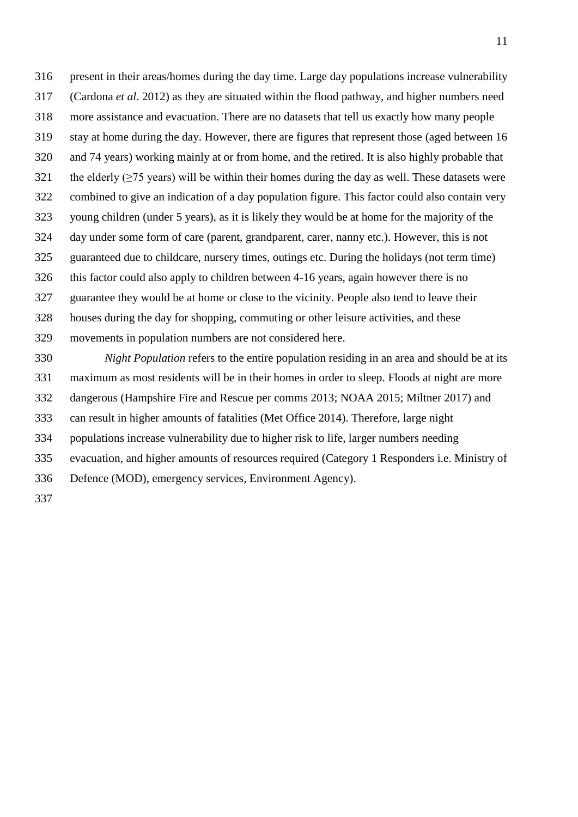present in their areas/homes during the day time. Large day populations increase vulnerability (Cardona *et al*. 2012) as they are situated within the flood pathway, and higher numbers need more assistance and evacuation. There are no datasets that tell us exactly how many people stay at home during the day. However, there are figures that represent those (aged between 16 and 74 years) working mainly at or from home, and the retired. It is also highly probable that 321 the elderly ( $\geq$ 75 years) will be within their homes during the day as well. These datasets were combined to give an indication of a day population figure. This factor could also contain very young children (under 5 years), as it is likely they would be at home for the majority of the day under some form of care (parent, grandparent, carer, nanny etc.). However, this is not guaranteed due to childcare, nursery times, outings etc. During the holidays (not term time) this factor could also apply to children between 4-16 years, again however there is no guarantee they would be at home or close to the vicinity. People also tend to leave their houses during the day for shopping, commuting or other leisure activities, and these movements in population numbers are not considered here.

 *Night Population* refers to the entire population residing in an area and should be at its maximum as most residents will be in their homes in order to sleep. Floods at night are more dangerous (Hampshire Fire and Rescue per comms 2013; NOAA 2015; Miltner 2017) and can result in higher amounts of fatalities (Met Office 2014). Therefore, large night populations increase vulnerability due to higher risk to life, larger numbers needing evacuation, and higher amounts of resources required (Category 1 Responders i.e. Ministry of Defence (MOD), emergency services, Environment Agency).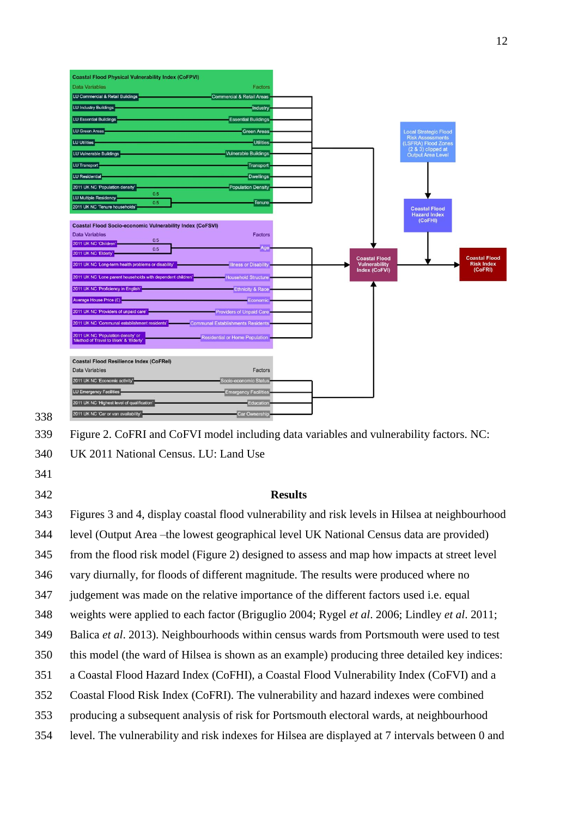

Figure 2. CoFRI and CoFVI model including data variables and vulnerability factors. NC:

UK 2011 National Census. LU: Land Use

 **Results**  Figures 3 and 4, display coastal flood vulnerability and risk levels in Hilsea at neighbourhood level (Output Area –the lowest geographical level UK National Census data are provided) from the flood risk model (Figure 2) designed to assess and map how impacts at street level vary diurnally, for floods of different magnitude. The results were produced where no judgement was made on the relative importance of the different factors used i.e. equal weights were applied to each factor (Briguglio 2004; Rygel *et al*. 2006; Lindley *et al*. 2011; Balica *et al*. 2013). Neighbourhoods within census wards from Portsmouth were used to test this model (the ward of Hilsea is shown as an example) producing three detailed key indices: a Coastal Flood Hazard Index (CoFHI), a Coastal Flood Vulnerability Index (CoFVI) and a Coastal Flood Risk Index (CoFRI). The vulnerability and hazard indexes were combined producing a subsequent analysis of risk for Portsmouth electoral wards, at neighbourhood level. The vulnerability and risk indexes for Hilsea are displayed at 7 intervals between 0 and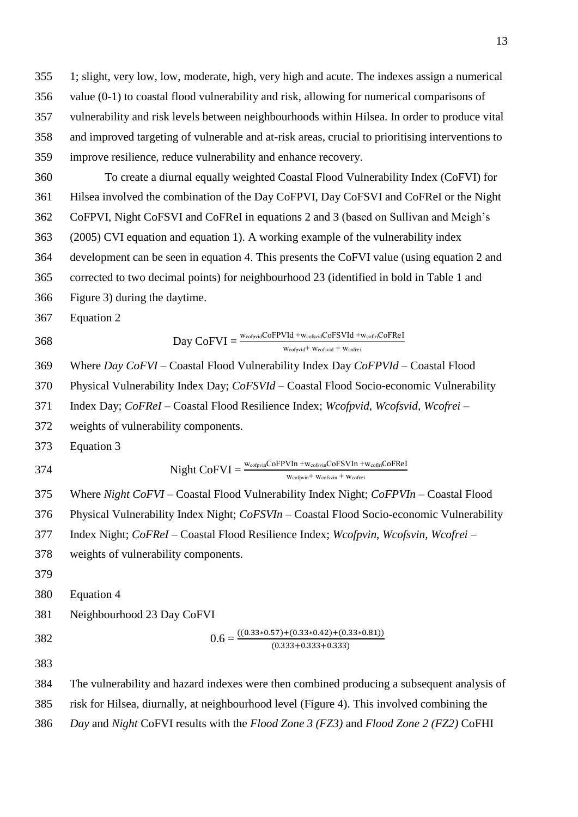vulnerability and risk levels between neighbourhoods within Hilsea. In order to produce vital and improved targeting of vulnerable and at-risk areas, crucial to prioritising interventions to improve resilience, reduce vulnerability and enhance recovery. To create a diurnal equally weighted Coastal Flood Vulnerability Index (CoFVI) for Hilsea involved the combination of the Day CoFPVI, Day CoFSVI and CoFReI or the Night CoFPVI, Night CoFSVI and CoFReI in equations 2 and 3 (based on Sullivan and Meigh's (2005) CVI equation and equation 1). A working example of the vulnerability index development can be seen in equation 4. This presents the CoFVI value (using equation 2 and corrected to two decimal points) for neighbourhood 23 (identified in bold in Table 1 and Figure 3) during the daytime. Equation 2  $\rm Day~CoFVI = \frac{w_{cofpvid}CoFPVId + w_{cofsvid}CoFSVId + w_{cofin}CoFRel}{w_{cofpvid} + w_{cofsvid} + w_{cofrei}}$  Where *Day CoFVI* – Coastal Flood Vulnerability Index Day *CoFPVId* – Coastal Flood Physical Vulnerability Index Day; *CoFSVId* – Coastal Flood Socio-economic Vulnerability Index Day; *CoFReI* – Coastal Flood Resilience Index; *Wcofpvid*, *Wcofsvid, Wcofrei* – weights of vulnerability components. Equation 3  $\text{Night CoFVI} = \frac{\text{w}_{\text{cofipvin}}\text{CoFPVIn +w_{\text{cofsvin}}\text{CoFSVIn +w}_{\text{cofiri}}}{\text{w}_{\text{cofipvin}} + \text{w}_{\text{cofrei}} + \text{w}_{\text{cofrei}}}}$  Where *Night CoFVI* – Coastal Flood Vulnerability Index Night; *CoFPVIn* – Coastal Flood Physical Vulnerability Index Night; *CoFSVIn* – Coastal Flood Socio-economic Vulnerability Index Night; *CoFReI* – Coastal Flood Resilience Index; *Wcofpvin*, *Wcofsvin, Wcofrei* – weights of vulnerability components. Equation 4 Neighbourhood 23 Day CoFVI  $0.6 = \frac{((0.33*0.57)+(0.33*0.42)+(0.33*0.81))}{(0.333+0.333+0.333)}$  The vulnerability and hazard indexes were then combined producing a subsequent analysis of risk for Hilsea, diurnally, at neighbourhood level (Figure 4). This involved combining the *Day* and *Night* CoFVI results with the *Flood Zone 3 (FZ3)* and *Flood Zone 2 (FZ2)* CoFHI

1; slight, very low, low, moderate, high, very high and acute. The indexes assign a numerical

value (0-1) to coastal flood vulnerability and risk, allowing for numerical comparisons of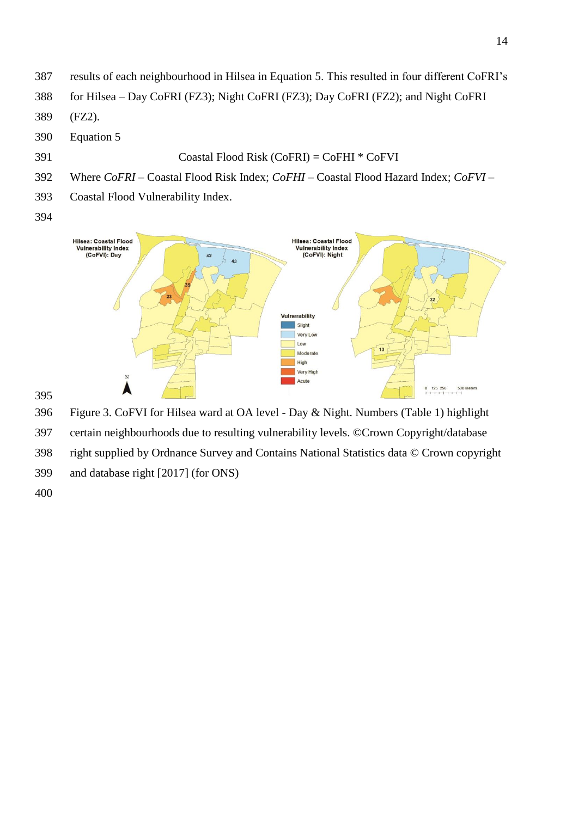- results of each neighbourhood in Hilsea in Equation 5. This resulted in four different CoFRI's
- for Hilsea Day CoFRI (FZ3); Night CoFRI (FZ3); Day CoFRI (FZ2); and Night CoFRI
- (FZ2).
- Equation 5

# Coastal Flood Risk (CoFRI) = CoFHI \* CoFVI

- Where *CoFRI* Coastal Flood Risk Index; *CoFHI* Coastal Flood Hazard Index; *CoFVI* –
- Coastal Flood Vulnerability Index.
- 



Figure 3. CoFVI for Hilsea ward at OA level - Day & Night. Numbers (Table 1) highlight

certain neighbourhoods due to resulting vulnerability levels. ©Crown Copyright/database

right supplied by Ordnance Survey and Contains National Statistics data © Crown copyright

and database right [2017] (for ONS)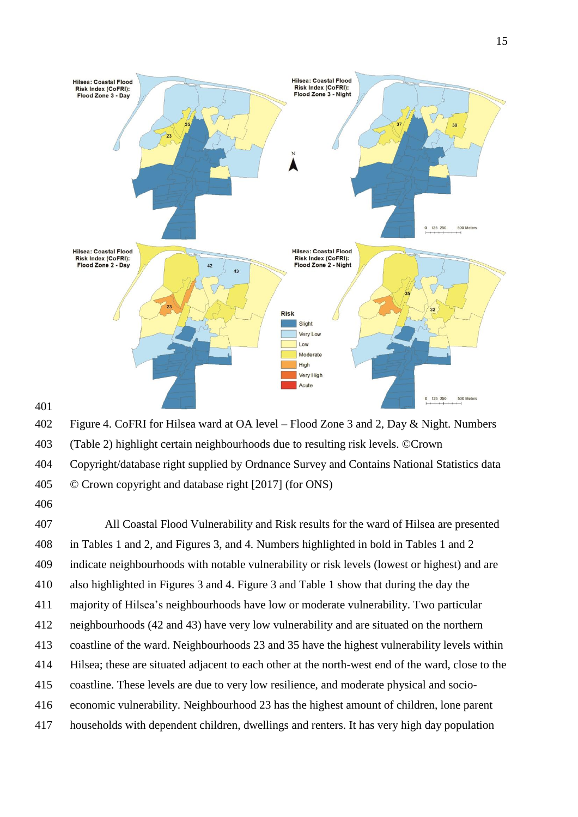

 Figure 4. CoFRI for Hilsea ward at OA level – Flood Zone 3 and 2, Day & Night. Numbers (Table 2) highlight certain neighbourhoods due to resulting risk levels. ©Crown Copyright/database right supplied by Ordnance Survey and Contains National Statistics data © Crown copyright and database right [2017] (for ONS)

 All Coastal Flood Vulnerability and Risk results for the ward of Hilsea are presented in Tables 1 and 2, and Figures 3, and 4. Numbers highlighted in bold in Tables 1 and 2 indicate neighbourhoods with notable vulnerability or risk levels (lowest or highest) and are also highlighted in Figures 3 and 4. Figure 3 and Table 1 show that during the day the majority of Hilsea's neighbourhoods have low or moderate vulnerability. Two particular neighbourhoods (42 and 43) have very low vulnerability and are situated on the northern coastline of the ward. Neighbourhoods 23 and 35 have the highest vulnerability levels within Hilsea; these are situated adjacent to each other at the north-west end of the ward, close to the coastline. These levels are due to very low resilience, and moderate physical and socio- economic vulnerability. Neighbourhood 23 has the highest amount of children, lone parent households with dependent children, dwellings and renters. It has very high day population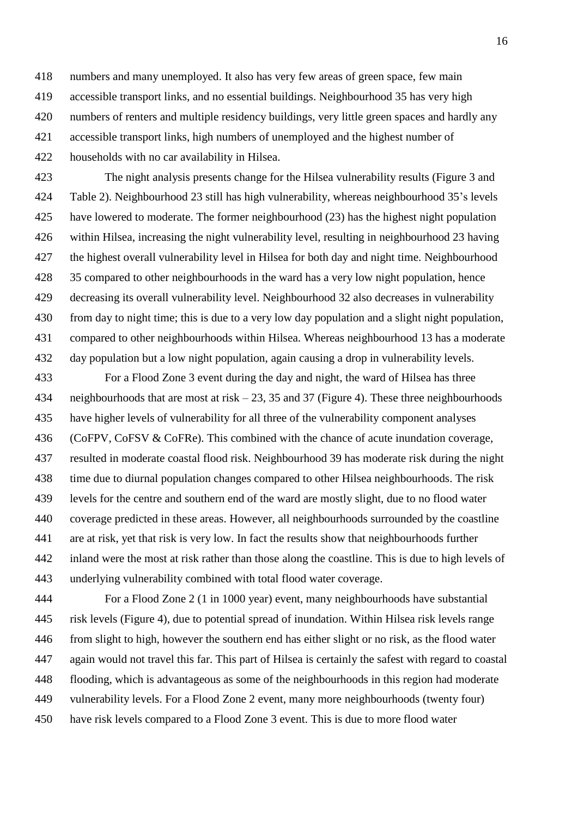numbers and many unemployed. It also has very few areas of green space, few main

- accessible transport links, and no essential buildings. Neighbourhood 35 has very high
- numbers of renters and multiple residency buildings, very little green spaces and hardly any
- accessible transport links, high numbers of unemployed and the highest number of
- households with no car availability in Hilsea.

 The night analysis presents change for the Hilsea vulnerability results (Figure 3 and Table 2). Neighbourhood 23 still has high vulnerability, whereas neighbourhood 35's levels have lowered to moderate. The former neighbourhood (23) has the highest night population within Hilsea, increasing the night vulnerability level, resulting in neighbourhood 23 having the highest overall vulnerability level in Hilsea for both day and night time. Neighbourhood 35 compared to other neighbourhoods in the ward has a very low night population, hence decreasing its overall vulnerability level. Neighbourhood 32 also decreases in vulnerability from day to night time; this is due to a very low day population and a slight night population, compared to other neighbourhoods within Hilsea. Whereas neighbourhood 13 has a moderate day population but a low night population, again causing a drop in vulnerability levels.

 For a Flood Zone 3 event during the day and night, the ward of Hilsea has three neighbourhoods that are most at risk – 23, 35 and 37 (Figure 4). These three neighbourhoods have higher levels of vulnerability for all three of the vulnerability component analyses (CoFPV, CoFSV & CoFRe). This combined with the chance of acute inundation coverage, resulted in moderate coastal flood risk. Neighbourhood 39 has moderate risk during the night time due to diurnal population changes compared to other Hilsea neighbourhoods. The risk levels for the centre and southern end of the ward are mostly slight, due to no flood water coverage predicted in these areas. However, all neighbourhoods surrounded by the coastline are at risk, yet that risk is very low. In fact the results show that neighbourhoods further inland were the most at risk rather than those along the coastline. This is due to high levels of underlying vulnerability combined with total flood water coverage.

 For a Flood Zone 2 (1 in 1000 year) event, many neighbourhoods have substantial risk levels (Figure 4), due to potential spread of inundation. Within Hilsea risk levels range from slight to high, however the southern end has either slight or no risk, as the flood water again would not travel this far. This part of Hilsea is certainly the safest with regard to coastal flooding, which is advantageous as some of the neighbourhoods in this region had moderate vulnerability levels. For a Flood Zone 2 event, many more neighbourhoods (twenty four) have risk levels compared to a Flood Zone 3 event. This is due to more flood water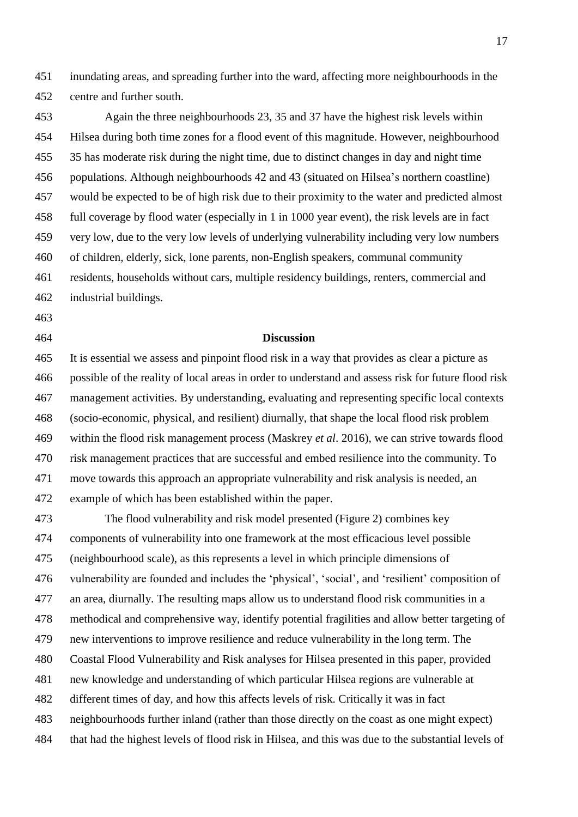inundating areas, and spreading further into the ward, affecting more neighbourhoods in the centre and further south.

 Again the three neighbourhoods 23, 35 and 37 have the highest risk levels within Hilsea during both time zones for a flood event of this magnitude. However, neighbourhood 35 has moderate risk during the night time, due to distinct changes in day and night time populations. Although neighbourhoods 42 and 43 (situated on Hilsea's northern coastline) would be expected to be of high risk due to their proximity to the water and predicted almost full coverage by flood water (especially in 1 in 1000 year event), the risk levels are in fact very low, due to the very low levels of underlying vulnerability including very low numbers of children, elderly, sick, lone parents, non-English speakers, communal community residents, households without cars, multiple residency buildings, renters, commercial and industrial buildings.

## **Discussion**

 It is essential we assess and pinpoint flood risk in a way that provides as clear a picture as possible of the reality of local areas in order to understand and assess risk for future flood risk management activities. By understanding, evaluating and representing specific local contexts (socio-economic, physical, and resilient) diurnally, that shape the local flood risk problem within the flood risk management process (Maskrey *et al*. 2016), we can strive towards flood risk management practices that are successful and embed resilience into the community. To move towards this approach an appropriate vulnerability and risk analysis is needed, an example of which has been established within the paper.

 The flood vulnerability and risk model presented (Figure 2) combines key components of vulnerability into one framework at the most efficacious level possible (neighbourhood scale), as this represents a level in which principle dimensions of vulnerability are founded and includes the 'physical', 'social', and 'resilient' composition of an area, diurnally. The resulting maps allow us to understand flood risk communities in a methodical and comprehensive way, identify potential fragilities and allow better targeting of new interventions to improve resilience and reduce vulnerability in the long term. The Coastal Flood Vulnerability and Risk analyses for Hilsea presented in this paper, provided new knowledge and understanding of which particular Hilsea regions are vulnerable at different times of day, and how this affects levels of risk. Critically it was in fact neighbourhoods further inland (rather than those directly on the coast as one might expect) that had the highest levels of flood risk in Hilsea, and this was due to the substantial levels of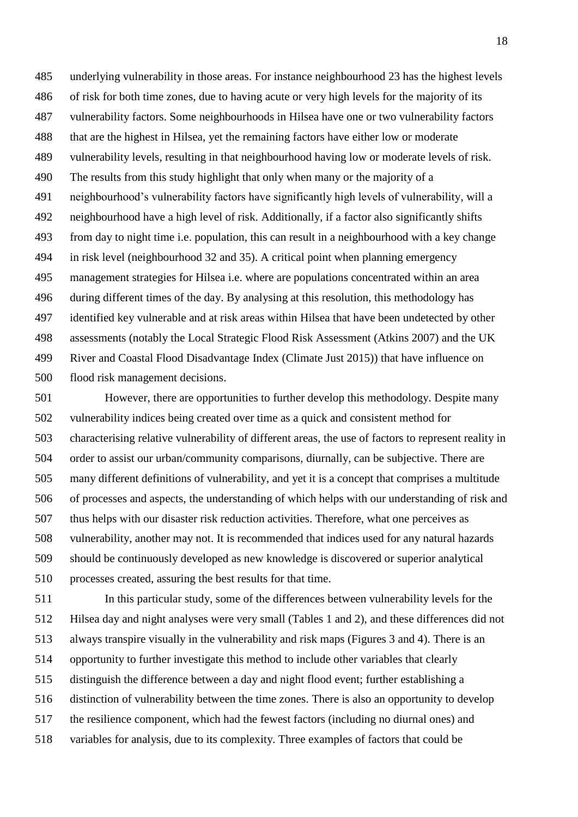underlying vulnerability in those areas. For instance neighbourhood 23 has the highest levels of risk for both time zones, due to having acute or very high levels for the majority of its vulnerability factors. Some neighbourhoods in Hilsea have one or two vulnerability factors that are the highest in Hilsea, yet the remaining factors have either low or moderate vulnerability levels, resulting in that neighbourhood having low or moderate levels of risk. The results from this study highlight that only when many or the majority of a neighbourhood's vulnerability factors have significantly high levels of vulnerability, will a neighbourhood have a high level of risk. Additionally, if a factor also significantly shifts from day to night time i.e. population, this can result in a neighbourhood with a key change in risk level (neighbourhood 32 and 35). A critical point when planning emergency management strategies for Hilsea i.e. where are populations concentrated within an area during different times of the day. By analysing at this resolution, this methodology has identified key vulnerable and at risk areas within Hilsea that have been undetected by other assessments (notably the Local Strategic Flood Risk Assessment (Atkins 2007) and the UK River and Coastal Flood Disadvantage Index (Climate Just 2015)) that have influence on flood risk management decisions.

 However, there are opportunities to further develop this methodology. Despite many vulnerability indices being created over time as a quick and consistent method for characterising relative vulnerability of different areas, the use of factors to represent reality in order to assist our urban/community comparisons, diurnally, can be subjective. There are many different definitions of vulnerability, and yet it is a concept that comprises a multitude of processes and aspects, the understanding of which helps with our understanding of risk and thus helps with our disaster risk reduction activities. Therefore, what one perceives as vulnerability, another may not. It is recommended that indices used for any natural hazards should be continuously developed as new knowledge is discovered or superior analytical processes created, assuring the best results for that time.

 In this particular study, some of the differences between vulnerability levels for the Hilsea day and night analyses were very small (Tables 1 and 2), and these differences did not always transpire visually in the vulnerability and risk maps (Figures 3 and 4). There is an opportunity to further investigate this method to include other variables that clearly distinguish the difference between a day and night flood event; further establishing a distinction of vulnerability between the time zones. There is also an opportunity to develop the resilience component, which had the fewest factors (including no diurnal ones) and variables for analysis, due to its complexity. Three examples of factors that could be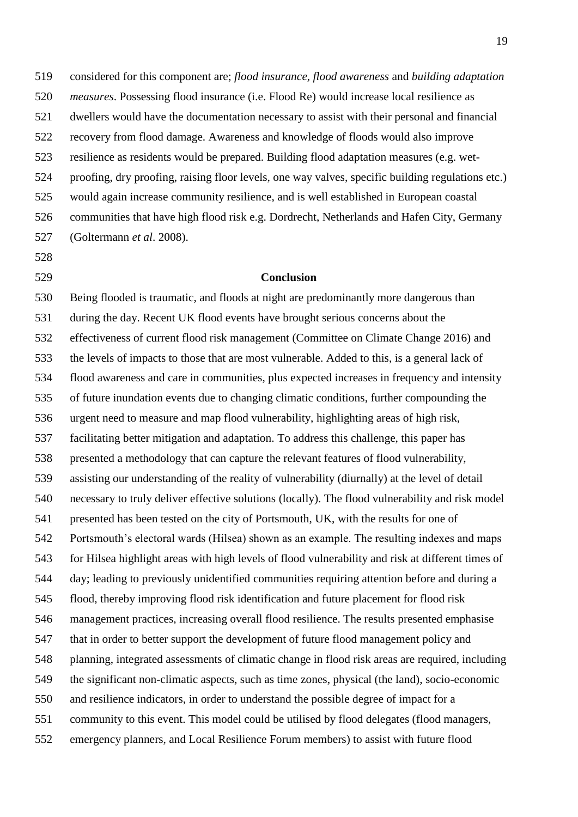considered for this component are; *flood insurance, flood awareness* and *building adaptation measures*. Possessing flood insurance (i.e. Flood Re) would increase local resilience as dwellers would have the documentation necessary to assist with their personal and financial recovery from flood damage. Awareness and knowledge of floods would also improve resilience as residents would be prepared. Building flood adaptation measures (e.g. wet- proofing, dry proofing, raising floor levels, one way valves, specific building regulations etc.) would again increase community resilience, and is well established in European coastal communities that have high flood risk e.g. Dordrecht, Netherlands and Hafen City, Germany (Goltermann *et al*. 2008).

#### **Conclusion**

 Being flooded is traumatic, and floods at night are predominantly more dangerous than during the day. Recent UK flood events have brought serious concerns about the effectiveness of current flood risk management (Committee on Climate Change 2016) and the levels of impacts to those that are most vulnerable. Added to this, is a general lack of flood awareness and care in communities, plus expected increases in frequency and intensity of future inundation events due to changing climatic conditions, further compounding the urgent need to measure and map flood vulnerability, highlighting areas of high risk, facilitating better mitigation and adaptation. To address this challenge, this paper has presented a methodology that can capture the relevant features of flood vulnerability, assisting our understanding of the reality of vulnerability (diurnally) at the level of detail necessary to truly deliver effective solutions (locally). The flood vulnerability and risk model presented has been tested on the city of Portsmouth, UK, with the results for one of Portsmouth's electoral wards (Hilsea) shown as an example. The resulting indexes and maps for Hilsea highlight areas with high levels of flood vulnerability and risk at different times of day; leading to previously unidentified communities requiring attention before and during a flood, thereby improving flood risk identification and future placement for flood risk management practices, increasing overall flood resilience. The results presented emphasise that in order to better support the development of future flood management policy and planning, integrated assessments of climatic change in flood risk areas are required, including the significant non-climatic aspects, such as time zones, physical (the land), socio-economic and resilience indicators, in order to understand the possible degree of impact for a community to this event. This model could be utilised by flood delegates (flood managers, emergency planners, and Local Resilience Forum members) to assist with future flood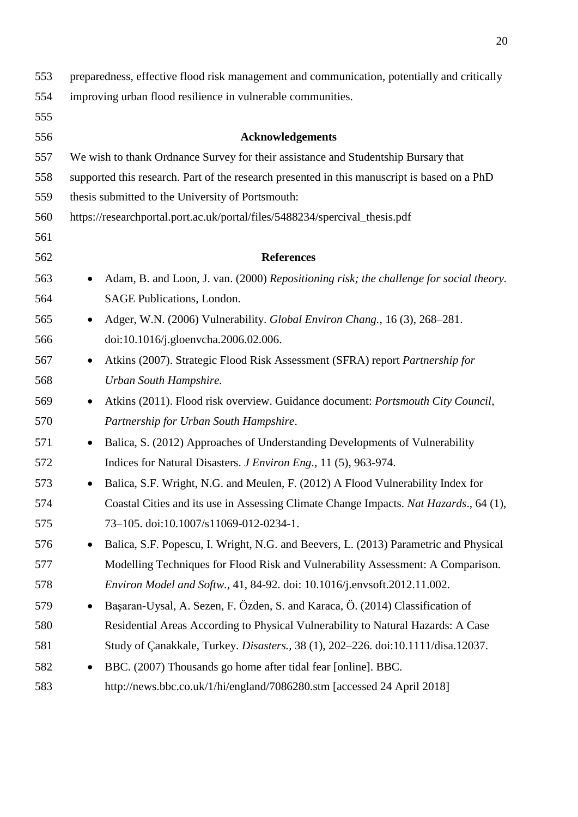| 553 | preparedness, effective flood risk management and communication, potentially and critically       |  |
|-----|---------------------------------------------------------------------------------------------------|--|
| 554 | improving urban flood resilience in vulnerable communities.                                       |  |
| 555 |                                                                                                   |  |
| 556 | <b>Acknowledgements</b>                                                                           |  |
| 557 | We wish to thank Ordnance Survey for their assistance and Studentship Bursary that                |  |
| 558 | supported this research. Part of the research presented in this manuscript is based on a PhD      |  |
| 559 | thesis submitted to the University of Portsmouth:                                                 |  |
| 560 | https://researchportal.port.ac.uk/portal/files/5488234/spercival_thesis.pdf                       |  |
| 561 |                                                                                                   |  |
| 562 | <b>References</b>                                                                                 |  |
| 563 | Adam, B. and Loon, J. van. (2000) Repositioning risk; the challenge for social theory.            |  |
| 564 | SAGE Publications, London.                                                                        |  |
| 565 | Adger, W.N. (2006) Vulnerability. Global Environ Chang., 16 (3), 268-281.<br>$\bullet$            |  |
| 566 | doi:10.1016/j.gloenvcha.2006.02.006.                                                              |  |
| 567 | Atkins (2007). Strategic Flood Risk Assessment (SFRA) report Partnership for                      |  |
| 568 | Urban South Hampshire.                                                                            |  |
| 569 | Atkins (2011). Flood risk overview. Guidance document: Portsmouth City Council,<br>$\bullet$      |  |
| 570 | Partnership for Urban South Hampshire.                                                            |  |
| 571 | Balica, S. (2012) Approaches of Understanding Developments of Vulnerability<br>$\bullet$          |  |
| 572 | Indices for Natural Disasters. J Environ Eng., 11 (5), 963-974.                                   |  |
| 573 | Balica, S.F. Wright, N.G. and Meulen, F. (2012) A Flood Vulnerability Index for<br>$\bullet$      |  |
| 574 | Coastal Cities and its use in Assessing Climate Change Impacts. Nat Hazards., 64 (1),             |  |
| 575 | 73-105. doi:10.1007/s11069-012-0234-1.                                                            |  |
| 576 | Balica, S.F. Popescu, I. Wright, N.G. and Beevers, L. (2013) Parametric and Physical<br>$\bullet$ |  |
| 577 | Modelling Techniques for Flood Risk and Vulnerability Assessment: A Comparison.                   |  |
| 578 | Environ Model and Softw., 41, 84-92. doi: 10.1016/j.envsoft.2012.11.002.                          |  |
| 579 | Başaran-Uysal, A. Sezen, F. Özden, S. and Karaca, Ö. (2014) Classification of<br>$\bullet$        |  |
| 580 | Residential Areas According to Physical Vulnerability to Natural Hazards: A Case                  |  |
| 581 | Study of Çanakkale, Turkey. Disasters., 38 (1), 202-226. doi:10.1111/disa.12037.                  |  |
| 582 | BBC. (2007) Thousands go home after tidal fear [online]. BBC.<br>$\bullet$                        |  |
| 583 | http://news.bbc.co.uk/1/hi/england/7086280.stm [accessed 24 April 2018]                           |  |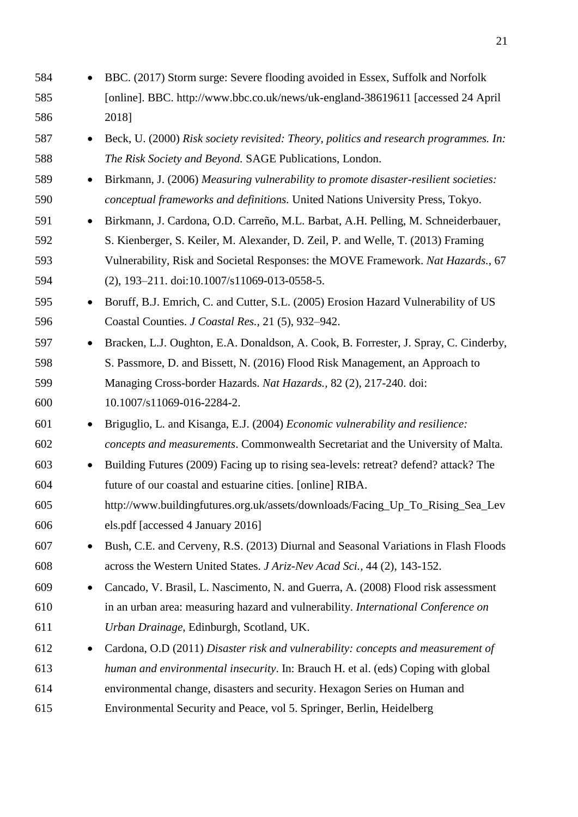BBC. (2017) Storm surge: Severe flooding avoided in Essex, Suffolk and Norfolk [online]. BBC.<http://www.bbc.co.uk/news/uk-england-38619611> [accessed 24 April 2018] Beck, U. (2000) *Risk society revisited: Theory, politics and research programmes. In: The Risk Society and Beyond.* SAGE Publications, London. Birkmann, J. (2006) *Measuring vulnerability to promote disaster-resilient societies: conceptual frameworks and definitions.* United Nations University Press, Tokyo. **Birkmann, J. Cardona, O.D. Carreño, M.L. Barbat, A.H. Pelling, M. Schneiderbauer,**  S. Kienberger, S. Keiler, M. Alexander, D. Zeil, P. and Welle, T. (2013) Framing Vulnerability, Risk and Societal Responses: the MOVE Framework. *Nat Hazards.,* 67 (2), 193–211. doi:10.1007/s11069-013-0558-5. 595 • Boruff, B.J. Emrich, C. and Cutter, S.L. (2005) Erosion Hazard Vulnerability of US Coastal Counties. *J Coastal Res.,* 21 (5), 932–942. **Bracken, L.J. Oughton, E.A. Donaldson, A. Cook, B. Forrester, J. Spray, C. Cinderby,**  S. Passmore, D. and Bissett, N. (2016) Flood Risk Management, an Approach to Managing Cross-border Hazards. *Nat Hazards.,* 82 (2), 217-240. doi: 10.1007/s11069-016-2284-2. Briguglio, L. and Kisanga, E.J. (2004) *Economic vulnerability and resilience: concepts and measurements*. Commonwealth Secretariat and the University of Malta. Building Futures (2009) Facing up to rising sea-levels: retreat? defend? attack? The future of our coastal and estuarine cities. [online] RIBA. [http://www.buildingfutures.org.uk/assets/downloads/Facing\\_Up\\_To\\_Rising\\_Sea\\_Lev](http://www.buildingfutures.org.uk/assets/downloads/Facing_Up_To_Rising_Sea_Levels.pdf) [els.pdf](http://www.buildingfutures.org.uk/assets/downloads/Facing_Up_To_Rising_Sea_Levels.pdf) [accessed 4 January 2016] 607 • Bush, C.E. and Cerveny, R.S. (2013) Diurnal and Seasonal Variations in Flash Floods across the Western United States. *J Ariz-Nev Acad Sci.,* 44 (2), 143-152. Cancado, V. Brasil, L. Nascimento, N. and Guerra, A. (2008) Flood risk assessment in an urban area: measuring hazard and vulnerability. *International Conference on Urban Drainage*, Edinburgh, Scotland, UK. Cardona, O.D (2011) *Disaster risk and vulnerability: concepts and measurement of human and environmental insecurity*. In: Brauch H. et al. (eds) Coping with global environmental change, disasters and security. Hexagon Series on Human and Environmental Security and Peace, vol 5. Springer, Berlin, Heidelberg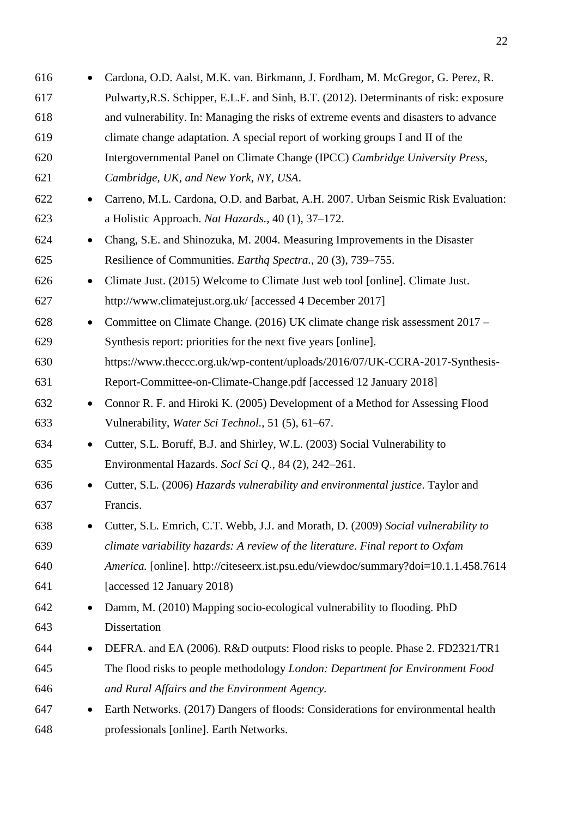| 616 | $\bullet$ | Cardona, O.D. Aalst, M.K. van. Birkmann, J. Fordham, M. McGregor, G. Perez, R.        |
|-----|-----------|---------------------------------------------------------------------------------------|
| 617 |           | Pulwarty, R.S. Schipper, E.L.F. and Sinh, B.T. (2012). Determinants of risk: exposure |
| 618 |           | and vulnerability. In: Managing the risks of extreme events and disasters to advance  |
| 619 |           | climate change adaptation. A special report of working groups I and II of the         |
| 620 |           | Intergovernmental Panel on Climate Change (IPCC) Cambridge University Press,          |
| 621 |           | Cambridge, UK, and New York, NY, USA.                                                 |
| 622 |           | Carreno, M.L. Cardona, O.D. and Barbat, A.H. 2007. Urban Seismic Risk Evaluation:     |
| 623 |           | a Holistic Approach. Nat Hazards., 40 (1), 37–172.                                    |
| 624 |           | Chang, S.E. and Shinozuka, M. 2004. Measuring Improvements in the Disaster            |
| 625 |           | Resilience of Communities. Earthq Spectra., 20 (3), 739–755.                          |
| 626 | $\bullet$ | Climate Just. (2015) Welcome to Climate Just web tool [online]. Climate Just.         |
| 627 |           | http://www.climatejust.org.uk/ [accessed 4 December 2017]                             |
| 628 | $\bullet$ | Committee on Climate Change. (2016) UK climate change risk assessment 2017 –          |
| 629 |           | Synthesis report: priorities for the next five years [online].                        |
| 630 |           | https://www.theccc.org.uk/wp-content/uploads/2016/07/UK-CCRA-2017-Synthesis-          |
| 631 |           | Report-Committee-on-Climate-Change.pdf [accessed 12 January 2018]                     |
| 632 | $\bullet$ | Connor R. F. and Hiroki K. (2005) Development of a Method for Assessing Flood         |
| 633 |           | Vulnerability, Water Sci Technol., 51 (5), 61-67.                                     |
| 634 | $\bullet$ | Cutter, S.L. Boruff, B.J. and Shirley, W.L. (2003) Social Vulnerability to            |
| 635 |           | Environmental Hazards. Socl Sci Q., 84 (2), 242-261.                                  |
| 636 |           | Cutter, S.L. (2006) Hazards vulnerability and environmental justice. Taylor and       |
| 637 |           | Francis.                                                                              |
| 638 |           | Cutter, S.L. Emrich, C.T. Webb, J.J. and Morath, D. (2009) Social vulnerability to    |
| 639 |           | climate variability hazards: A review of the literature. Final report to Oxfam        |
| 640 |           | America. [online]. http://citeseerx.ist.psu.edu/viewdoc/summary?doi=10.1.1.458.7614   |
| 641 |           | [accessed 12 January 2018)                                                            |
| 642 | $\bullet$ | Damm, M. (2010) Mapping socio-ecological vulnerability to flooding. PhD               |
| 643 |           | Dissertation                                                                          |
| 644 |           | DEFRA. and EA (2006). R&D outputs: Flood risks to people. Phase 2. FD2321/TR1         |
| 645 |           | The flood risks to people methodology London: Department for Environment Food         |
| 646 |           | and Rural Affairs and the Environment Agency.                                         |
| 647 | $\bullet$ | Earth Networks. (2017) Dangers of floods: Considerations for environmental health     |
| 648 |           | professionals [online]. Earth Networks.                                               |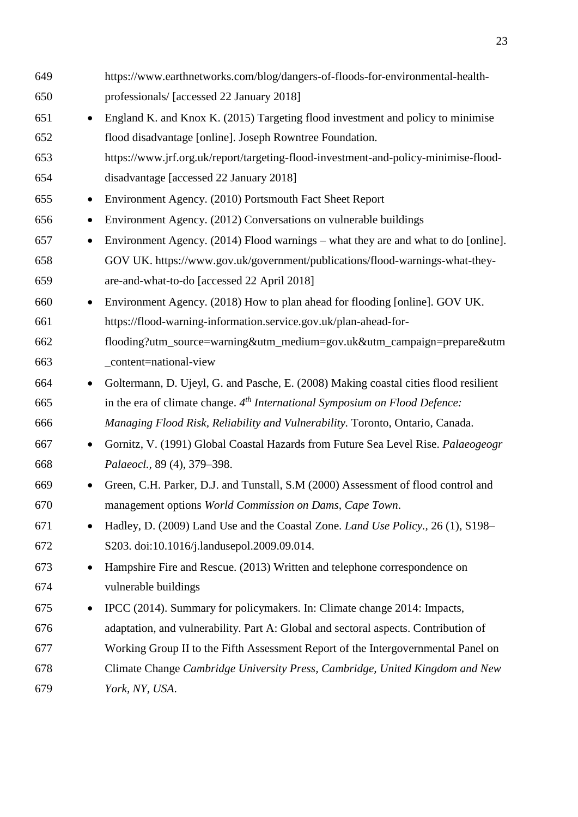| 649 |           | https://www.earthnetworks.com/blog/dangers-of-floods-for-environmental-health-          |
|-----|-----------|-----------------------------------------------------------------------------------------|
| 650 |           | professionals/ [accessed 22 January 2018]                                               |
| 651 | $\bullet$ | England K. and Knox K. (2015) Targeting flood investment and policy to minimise         |
| 652 |           | flood disadvantage [online]. Joseph Rowntree Foundation.                                |
| 653 |           | https://www.jrf.org.uk/report/targeting-flood-investment-and-policy-minimise-flood-     |
| 654 |           | disadvantage [accessed 22 January 2018]                                                 |
| 655 | $\bullet$ | Environment Agency. (2010) Portsmouth Fact Sheet Report                                 |
| 656 | $\bullet$ | Environment Agency. (2012) Conversations on vulnerable buildings                        |
| 657 |           | Environment Agency. (2014) Flood warnings – what they are and what to do [online].      |
| 658 |           | GOV UK. https://www.gov.uk/government/publications/flood-warnings-what-they-            |
| 659 |           | are-and-what-to-do [accessed 22 April 2018]                                             |
| 660 |           | Environment Agency. (2018) How to plan ahead for flooding [online]. GOV UK.             |
| 661 |           | https://flood-warning-information.service.gov.uk/plan-ahead-for-                        |
| 662 |           | flooding?utm_source=warning&utm_medium=gov.uk&utm_campaign=prepare&utm                  |
| 663 |           | _content=national-view                                                                  |
| 664 | $\bullet$ | Goltermann, D. Ujeyl, G. and Pasche, E. (2008) Making coastal cities flood resilient    |
| 665 |           | in the era of climate change. 4 <sup>th</sup> International Symposium on Flood Defence: |
| 666 |           | Managing Flood Risk, Reliability and Vulnerability. Toronto, Ontario, Canada.           |
| 667 | $\bullet$ | Gornitz, V. (1991) Global Coastal Hazards from Future Sea Level Rise. Palaeogeogr       |
| 668 |           | Palaeocl., 89 (4), 379-398.                                                             |
| 669 |           | Green, C.H. Parker, D.J. and Tunstall, S.M (2000) Assessment of flood control and       |
| 670 |           | management options World Commission on Dams, Cape Town.                                 |
| 671 |           | Hadley, D. (2009) Land Use and the Coastal Zone. Land Use Policy., 26 (1), S198–        |
| 672 |           | S203. doi:10.1016/j.landusepol.2009.09.014.                                             |
| 673 | $\bullet$ | Hampshire Fire and Rescue. (2013) Written and telephone correspondence on               |
| 674 |           | vulnerable buildings                                                                    |
| 675 | $\bullet$ | IPCC (2014). Summary for policymakers. In: Climate change 2014: Impacts,                |
| 676 |           | adaptation, and vulnerability. Part A: Global and sectoral aspects. Contribution of     |
| 677 |           | Working Group II to the Fifth Assessment Report of the Intergovernmental Panel on       |
| 678 |           | Climate Change Cambridge University Press, Cambridge, United Kingdom and New            |
| 679 |           | York, NY, USA.                                                                          |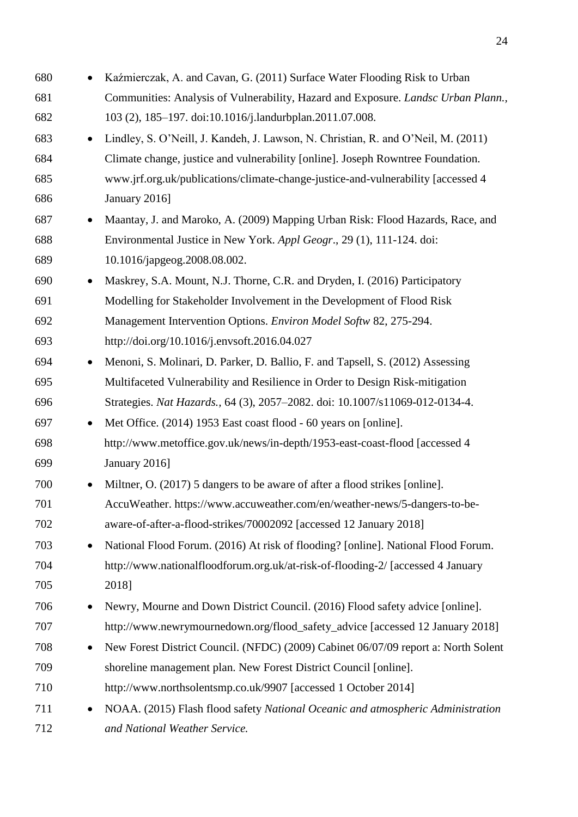| 680 | $\bullet$ | Kaźmierczak, A. and Cavan, G. (2011) Surface Water Flooding Risk to Urban          |
|-----|-----------|------------------------------------------------------------------------------------|
| 681 |           | Communities: Analysis of Vulnerability, Hazard and Exposure. Landsc Urban Plann.,  |
| 682 |           | 103 (2), 185-197. doi:10.1016/j.landurbplan.2011.07.008.                           |
| 683 | $\bullet$ | Lindley, S. O'Neill, J. Kandeh, J. Lawson, N. Christian, R. and O'Neil, M. (2011)  |
| 684 |           | Climate change, justice and vulnerability [online]. Joseph Rowntree Foundation.    |
| 685 |           | www.jrf.org.uk/publications/climate-change-justice-and-vulnerability [accessed 4   |
| 686 |           | January 2016]                                                                      |
| 687 |           | Maantay, J. and Maroko, A. (2009) Mapping Urban Risk: Flood Hazards, Race, and     |
| 688 |           | Environmental Justice in New York. Appl Geogr., 29 (1), 111-124. doi:              |
| 689 |           | 10.1016/japgeog.2008.08.002.                                                       |
| 690 | $\bullet$ | Maskrey, S.A. Mount, N.J. Thorne, C.R. and Dryden, I. (2016) Participatory         |
| 691 |           | Modelling for Stakeholder Involvement in the Development of Flood Risk             |
| 692 |           | Management Intervention Options. Environ Model Softw 82, 275-294.                  |
| 693 |           | http://doi.org/10.1016/j.envsoft.2016.04.027                                       |
| 694 | $\bullet$ | Menoni, S. Molinari, D. Parker, D. Ballio, F. and Tapsell, S. (2012) Assessing     |
| 695 |           | Multifaceted Vulnerability and Resilience in Order to Design Risk-mitigation       |
| 696 |           | Strategies. Nat Hazards., 64 (3), 2057-2082. doi: 10.1007/s11069-012-0134-4.       |
| 697 | $\bullet$ | Met Office. (2014) 1953 East coast flood - 60 years on [online].                   |
| 698 |           | http://www.metoffice.gov.uk/news/in-depth/1953-east-coast-flood [accessed 4        |
| 699 |           | January 2016]                                                                      |
| 700 |           | Miltner, O. (2017) 5 dangers to be aware of after a flood strikes [online].        |
| 701 |           | AccuWeather. https://www.accuweather.com/en/weather-news/5-dangers-to-be-          |
| 702 |           | aware-of-after-a-flood-strikes/70002092 [accessed 12 January 2018]                 |
| 703 | $\bullet$ | National Flood Forum. (2016) At risk of flooding? [online]. National Flood Forum.  |
| 704 |           | http://www.nationalfloodforum.org.uk/at-risk-of-flooding-2/ [accessed 4 January    |
| 705 |           | 2018]                                                                              |
| 706 | $\bullet$ | Newry, Mourne and Down District Council. (2016) Flood safety advice [online].      |
| 707 |           | http://www.newrymournedown.org/flood_safety_advice [accessed 12 January 2018]      |
| 708 | $\bullet$ | New Forest District Council. (NFDC) (2009) Cabinet 06/07/09 report a: North Solent |
| 709 |           | shoreline management plan. New Forest District Council [online].                   |
| 710 |           | http://www.northsolentsmp.co.uk/9907 [accessed 1 October 2014]                     |
| 711 | $\bullet$ | NOAA. (2015) Flash flood safety National Oceanic and atmospheric Administration    |
| 712 |           | and National Weather Service.                                                      |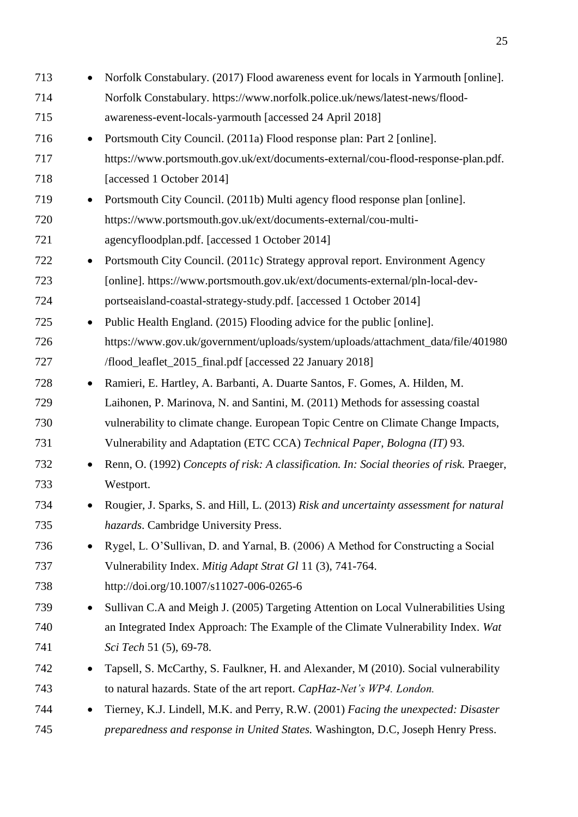| 713 |           | Norfolk Constabulary. (2017) Flood awareness event for locals in Yarmouth [online].       |
|-----|-----------|-------------------------------------------------------------------------------------------|
| 714 |           | Norfolk Constabulary. https://www.norfolk.police.uk/news/latest-news/flood-               |
| 715 |           | awareness-event-locals-yarmouth [accessed 24 April 2018]                                  |
| 716 |           | Portsmouth City Council. (2011a) Flood response plan: Part 2 [online].                    |
| 717 |           | https://www.portsmouth.gov.uk/ext/documents-external/cou-flood-response-plan.pdf.         |
| 718 |           | [accessed 1 October 2014]                                                                 |
| 719 | $\bullet$ | Portsmouth City Council. (2011b) Multi agency flood response plan [online].               |
| 720 |           | https://www.portsmouth.gov.uk/ext/documents-external/cou-multi-                           |
| 721 |           | agencyfloodplan.pdf. [accessed 1 October 2014]                                            |
| 722 | $\bullet$ | Portsmouth City Council. (2011c) Strategy approval report. Environment Agency             |
| 723 |           | [online]. https://www.portsmouth.gov.uk/ext/documents-external/pln-local-dev-             |
| 724 |           | portseaisland-coastal-strategy-study.pdf. [accessed 1 October 2014]                       |
| 725 | $\bullet$ | Public Health England. (2015) Flooding advice for the public [online].                    |
| 726 |           | https://www.gov.uk/government/uploads/system/uploads/attachment_data/file/401980          |
| 727 |           | /flood_leaflet_2015_final.pdf [accessed 22 January 2018]                                  |
| 728 | $\bullet$ | Ramieri, E. Hartley, A. Barbanti, A. Duarte Santos, F. Gomes, A. Hilden, M.               |
| 729 |           | Laihonen, P. Marinova, N. and Santini, M. (2011) Methods for assessing coastal            |
| 730 |           | vulnerability to climate change. European Topic Centre on Climate Change Impacts,         |
| 731 |           | Vulnerability and Adaptation (ETC CCA) Technical Paper, Bologna (IT) 93.                  |
| 732 | $\bullet$ | Renn, O. (1992) Concepts of risk: A classification. In: Social theories of risk. Praeger, |
| 733 |           | Westport.                                                                                 |
| 734 |           | Rougier, J. Sparks, S. and Hill, L. (2013) Risk and uncertainty assessment for natural    |
| 735 |           | hazards. Cambridge University Press.                                                      |
| 736 | $\bullet$ | Rygel, L. O'Sullivan, D. and Yarnal, B. (2006) A Method for Constructing a Social         |
| 737 |           | Vulnerability Index. Mitig Adapt Strat Gl 11 (3), 741-764.                                |
| 738 |           | http://doi.org/10.1007/s11027-006-0265-6                                                  |
| 739 | $\bullet$ | Sullivan C.A and Meigh J. (2005) Targeting Attention on Local Vulnerabilities Using       |
| 740 |           | an Integrated Index Approach: The Example of the Climate Vulnerability Index. Wat         |
| 741 |           | Sci Tech 51 (5), 69-78.                                                                   |
| 742 | $\bullet$ | Tapsell, S. McCarthy, S. Faulkner, H. and Alexander, M (2010). Social vulnerability       |
| 743 |           | to natural hazards. State of the art report. CapHaz-Net's WP4. London.                    |
| 744 | $\bullet$ | Tierney, K.J. Lindell, M.K. and Perry, R.W. (2001) Facing the unexpected: Disaster        |
| 745 |           | preparedness and response in United States. Washington, D.C, Joseph Henry Press.          |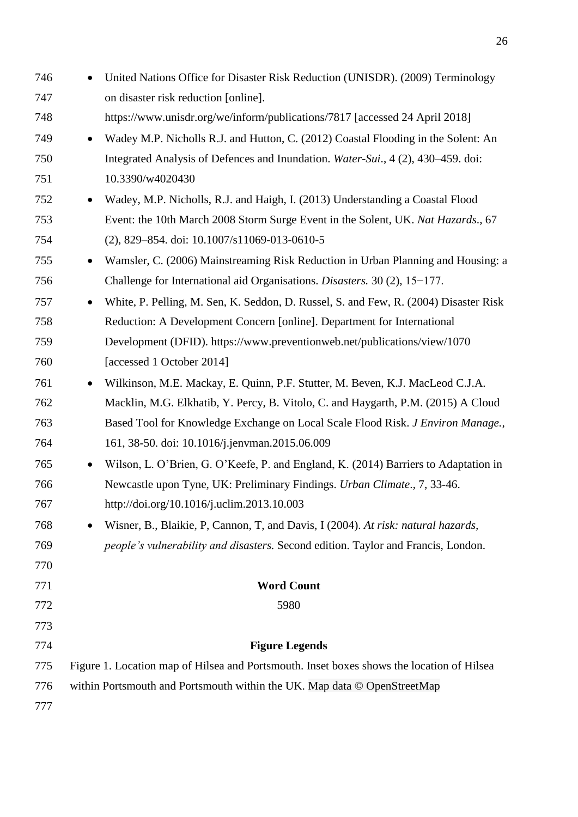| 746 | $\bullet$ | United Nations Office for Disaster Risk Reduction (UNISDR). (2009) Terminology            |
|-----|-----------|-------------------------------------------------------------------------------------------|
| 747 |           | on disaster risk reduction [online].                                                      |
| 748 |           | https://www.unisdr.org/we/inform/publications/7817 [accessed 24 April 2018]               |
| 749 | $\bullet$ | Wadey M.P. Nicholls R.J. and Hutton, C. (2012) Coastal Flooding in the Solent: An         |
| 750 |           | Integrated Analysis of Defences and Inundation. Water-Sui., 4 (2), 430–459. doi:          |
| 751 |           | 10.3390/w4020430                                                                          |
| 752 | $\bullet$ | Wadey, M.P. Nicholls, R.J. and Haigh, I. (2013) Understanding a Coastal Flood             |
| 753 |           | Event: the 10th March 2008 Storm Surge Event in the Solent, UK. Nat Hazards., 67          |
| 754 |           | $(2)$ , 829–854. doi: 10.1007/s11069-013-0610-5                                           |
| 755 | $\bullet$ | Wamsler, C. (2006) Mainstreaming Risk Reduction in Urban Planning and Housing: a          |
| 756 |           | Challenge for International aid Organisations. Disasters. 30 (2), 15-177.                 |
| 757 |           | White, P. Pelling, M. Sen, K. Seddon, D. Russel, S. and Few, R. (2004) Disaster Risk      |
| 758 |           | Reduction: A Development Concern [online]. Department for International                   |
| 759 |           | Development (DFID). https://www.preventionweb.net/publications/view/1070                  |
| 760 |           | [accessed 1 October 2014]                                                                 |
| 761 |           | Wilkinson, M.E. Mackay, E. Quinn, P.F. Stutter, M. Beven, K.J. MacLeod C.J.A.             |
| 762 |           | Macklin, M.G. Elkhatib, Y. Percy, B. Vitolo, C. and Haygarth, P.M. (2015) A Cloud         |
| 763 |           | Based Tool for Knowledge Exchange on Local Scale Flood Risk. J Environ Manage.,           |
| 764 |           | 161, 38-50. doi: 10.1016/j.jenvman.2015.06.009                                            |
| 765 |           | Wilson, L. O'Brien, G. O'Keefe, P. and England, K. (2014) Barriers to Adaptation in       |
| 766 |           | Newcastle upon Tyne, UK: Preliminary Findings. <i>Urban Climate.</i> , 7, 33-46.          |
| 767 |           | http://doi.org/10.1016/j.uclim.2013.10.003                                                |
| 768 |           | Wisner, B., Blaikie, P. Cannon, T. and Davis, I (2004). At risk: natural hazards,         |
| 769 |           | people's vulnerability and disasters. Second edition. Taylor and Francis, London.         |
| 770 |           |                                                                                           |
| 771 |           | <b>Word Count</b>                                                                         |
| 772 |           | 5980                                                                                      |
| 773 |           |                                                                                           |
| 774 |           | <b>Figure Legends</b>                                                                     |
| 775 |           | Figure 1. Location map of Hilsea and Portsmouth. Inset boxes shows the location of Hilsea |
| 776 |           | within Portsmouth and Portsmouth within the UK. Map data © OpenStreetMap                  |
| 777 |           |                                                                                           |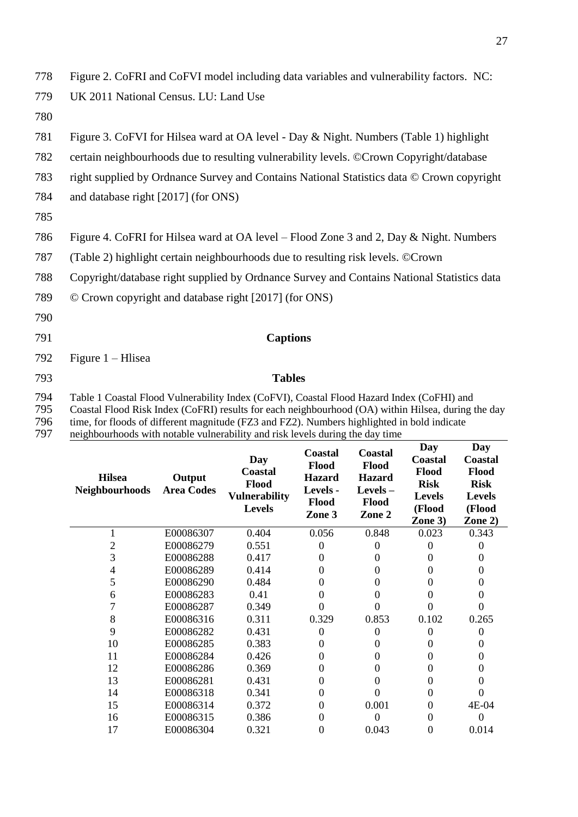|  |  | 778 Figure 2. CoFRI and CoFVI model including data variables and vulnerability factors. NC: |  |
|--|--|---------------------------------------------------------------------------------------------|--|
|--|--|---------------------------------------------------------------------------------------------|--|

## 779 UK 2011 National Census. LU: Land Use

780

- 781 Figure 3. CoFVI for Hilsea ward at OA level Day & Night. Numbers (Table 1) highlight
- 782 certain neighbourhoods due to resulting vulnerability levels. ©Crown Copyright/database
- 783 right supplied by Ordnance Survey and Contains National Statistics data © Crown copyright
- 784 and database right [2017] (for ONS)
- 785
- 786 Figure 4. CoFRI for Hilsea ward at OA level Flood Zone 3 and 2, Day & Night. Numbers
- 787 (Table 2) highlight certain neighbourhoods due to resulting risk levels. ©Crown
- 788 Copyright/database right supplied by Ordnance Survey and Contains National Statistics data
- 789 © Crown copyright and database right [2017] (for ONS)
- 790
- 

# 791 **Captions**

792 Figure 1 – Hlisea

# 793 **Tables**

794 Table 1 Coastal Flood Vulnerability Index (CoFVI), Coastal Flood Hazard Index (CoFHI) and<br>795 Coastal Flood Risk Index (CoFRI) results for each neighbourhood (OA) within Hilsea, during t 795 Coastal Flood Risk Index (CoFRI) results for each neighbourhood (OA) within Hilsea, during the day

796 time, for floods of different magnitude (FZ3 and FZ2). Numbers highlighted in bold indicate neighbourhoods with notable vulnerability and risk levels during the day time neighbourhoods with notable vulnerability and risk levels during the day time

| <b>Hilsea</b><br><b>Neighbourhoods</b> | Output<br><b>Area Codes</b> | Day<br>Coastal<br>Flood<br><b>Vulnerability</b><br><b>Levels</b> | Coastal<br>Flood<br><b>Hazard</b><br>Levels -<br>Flood<br>Zone 3 | <b>Coastal</b><br><b>Flood</b><br>Hazard<br>$Levels -$<br><b>Flood</b><br>Zone 2 | Day<br><b>Coastal</b><br>Flood<br><b>Risk</b><br><b>Levels</b><br>(Flood<br>Zone 3) | Day<br><b>Coastal</b><br><b>Flood</b><br><b>Risk</b><br><b>Levels</b><br>(Flood<br>Zone $2)$ |
|----------------------------------------|-----------------------------|------------------------------------------------------------------|------------------------------------------------------------------|----------------------------------------------------------------------------------|-------------------------------------------------------------------------------------|----------------------------------------------------------------------------------------------|
|                                        | E00086307                   | 0.404                                                            | 0.056                                                            | 0.848                                                                            | 0.023                                                                               | 0.343                                                                                        |
| 2                                      | E00086279                   | 0.551                                                            | 0                                                                | $\Omega$                                                                         | 0                                                                                   | 0                                                                                            |
| 3                                      | E00086288                   | 0.417                                                            | 0                                                                | 0                                                                                |                                                                                     |                                                                                              |
| 4                                      | E00086289                   | 0.414                                                            | $\Omega$                                                         | 0                                                                                | $\theta$                                                                            | 0                                                                                            |
| 5                                      | E00086290                   | 0.484                                                            | 0                                                                | 0                                                                                | 0                                                                                   | 0                                                                                            |
| 6                                      | E00086283                   | 0.41                                                             | 0                                                                | 0                                                                                | 0                                                                                   | 0                                                                                            |
|                                        | E00086287                   | 0.349                                                            | 0                                                                |                                                                                  |                                                                                     |                                                                                              |
| 8                                      | E00086316                   | 0.311                                                            | 0.329                                                            | 0.853                                                                            | 0.102                                                                               | 0.265                                                                                        |
| 9                                      | E00086282                   | 0.431                                                            | 0                                                                | $\Omega$                                                                         | $\Omega$                                                                            | 0                                                                                            |
| 10                                     | E00086285                   | 0.383                                                            | 0                                                                | 0                                                                                | 0                                                                                   | 0                                                                                            |
| 11                                     | E00086284                   | 0.426                                                            | 0                                                                | 0                                                                                | $\Omega$                                                                            | 0                                                                                            |
| 12                                     | E00086286                   | 0.369                                                            | 0                                                                |                                                                                  |                                                                                     |                                                                                              |
| 13                                     | E00086281                   | 0.431                                                            | 0                                                                | $\Omega$                                                                         | 0                                                                                   | 0                                                                                            |
| 14                                     | E00086318                   | 0.341                                                            | 0                                                                |                                                                                  | 0                                                                                   | 0                                                                                            |
| 15                                     | E00086314                   | 0.372                                                            | $\Omega$                                                         | 0.001                                                                            | $\theta$                                                                            | 4E-04                                                                                        |
| 16                                     | E00086315                   | 0.386                                                            | 0                                                                | $\Omega$                                                                         | 0                                                                                   | 0                                                                                            |
| 17                                     | E00086304                   | 0.321                                                            | 0                                                                | 0.043                                                                            | $\theta$                                                                            | 0.014                                                                                        |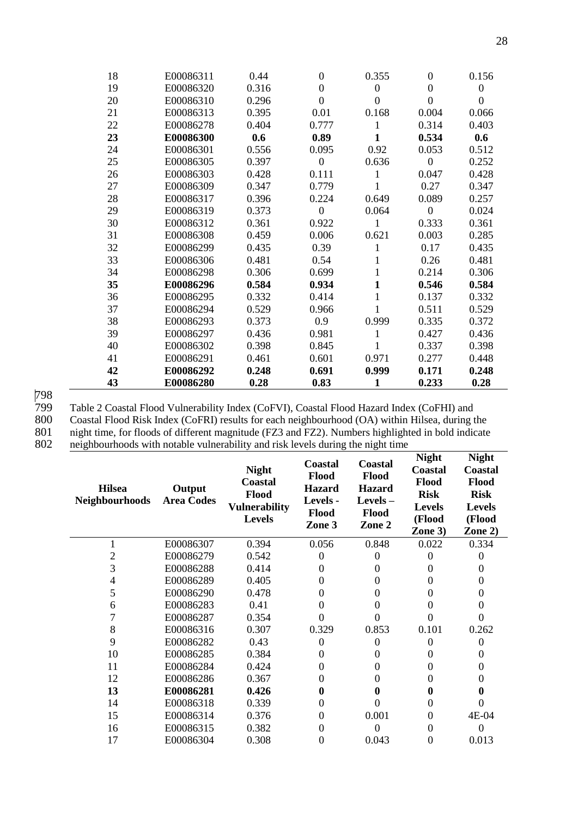| 18 | E00086311 | 0.44  | $\theta$       | 0.355        | $\overline{0}$   | 0.156            |
|----|-----------|-------|----------------|--------------|------------------|------------------|
| 19 | E00086320 | 0.316 | $\overline{0}$ | $\theta$     | $\boldsymbol{0}$ | $\overline{0}$   |
| 20 | E00086310 | 0.296 | $\Omega$       | $\Omega$     | $\overline{0}$   | $\boldsymbol{0}$ |
| 21 | E00086313 | 0.395 | 0.01           | 0.168        | 0.004            | 0.066            |
| 22 | E00086278 | 0.404 | 0.777          | 1            | 0.314            | 0.403            |
| 23 | E00086300 | 0.6   | 0.89           | 1            | 0.534            | 0.6              |
| 24 | E00086301 | 0.556 | 0.095          | 0.92         | 0.053            | 0.512            |
| 25 | E00086305 | 0.397 | $\mathbf{0}$   | 0.636        | $\boldsymbol{0}$ | 0.252            |
| 26 | E00086303 | 0.428 | 0.111          |              | 0.047            | 0.428            |
| 27 | E00086309 | 0.347 | 0.779          |              | 0.27             | 0.347            |
| 28 | E00086317 | 0.396 | 0.224          | 0.649        | 0.089            | 0.257            |
| 29 | E00086319 | 0.373 | $\theta$       | 0.064        | $\overline{0}$   | 0.024            |
| 30 | E00086312 | 0.361 | 0.922          |              | 0.333            | 0.361            |
| 31 | E00086308 | 0.459 | 0.006          | 0.621        | 0.003            | 0.285            |
| 32 | E00086299 | 0.435 | 0.39           | 1            | 0.17             | 0.435            |
| 33 | E00086306 | 0.481 | 0.54           |              | 0.26             | 0.481            |
| 34 | E00086298 | 0.306 | 0.699          | 1            | 0.214            | 0.306            |
| 35 | E00086296 | 0.584 | 0.934          | $\mathbf{1}$ | 0.546            | 0.584            |
| 36 | E00086295 | 0.332 | 0.414          | 1            | 0.137            | 0.332            |
| 37 | E00086294 | 0.529 | 0.966          |              | 0.511            | 0.529            |
| 38 | E00086293 | 0.373 | 0.9            | 0.999        | 0.335            | 0.372            |
| 39 | E00086297 | 0.436 | 0.981          | 1            | 0.427            | 0.436            |
| 40 | E00086302 | 0.398 | 0.845          |              | 0.337            | 0.398            |
| 41 | E00086291 | 0.461 | 0.601          | 0.971        | 0.277            | 0.448            |
| 42 | E00086292 | 0.248 | 0.691          | 0.999        | 0.171            | 0.248            |
| 43 | E00086280 | 0.28  | 0.83           | 1            | 0.233            | 0.28             |

798<br>799

799 Table 2 Coastal Flood Vulnerability Index (CoFVI), Coastal Flood Hazard Index (CoFHI) and

800 Coastal Flood Risk Index (CoFRI) results for each neighbourhood (OA) within Hilsea, during the

801 night time, for floods of different magnitude (FZ3 and FZ2). Numbers highlighted in bold indicate neighbourhoods with notable vulnerability and risk levels during the night time

eighbourhoods with notable vulnerability and risk levels during the night time

| <b>Hilsea</b><br><b>Neighbourhoods</b> | Output<br><b>Area Codes</b> | <b>Night</b><br>Coastal<br>Flood<br><b>Vulnerability</b><br>Levels | <b>Coastal</b><br>Flood<br><b>Hazard</b><br>Levels -<br>Flood<br>Zone 3 | <b>Coastal</b><br><b>Flood</b><br><b>Hazard</b><br>Levels-<br><b>Flood</b><br>Zone 2 | <b>Night</b><br>Coastal<br><b>Flood</b><br><b>Risk</b><br><b>Levels</b><br>(Flood<br>Zone $3)$ | <b>Night</b><br>Coastal<br><b>Flood</b><br><b>Risk</b><br><b>Levels</b><br>(Flood<br>Zone $2)$ |
|----------------------------------------|-----------------------------|--------------------------------------------------------------------|-------------------------------------------------------------------------|--------------------------------------------------------------------------------------|------------------------------------------------------------------------------------------------|------------------------------------------------------------------------------------------------|
|                                        | E00086307                   | 0.394                                                              | 0.056                                                                   | 0.848                                                                                | 0.022                                                                                          | 0.334                                                                                          |
| 2                                      | E00086279                   | 0.542                                                              | 0                                                                       | 0                                                                                    | 0                                                                                              | $\theta$                                                                                       |
| 3                                      | E00086288                   | 0.414                                                              | 0                                                                       | 0                                                                                    |                                                                                                | 0                                                                                              |
| 4                                      | E00086289                   | 0.405                                                              | 0                                                                       | 0                                                                                    |                                                                                                | $\Omega$                                                                                       |
| 5                                      | E00086290                   | 0.478                                                              | 0                                                                       | 0                                                                                    | 0                                                                                              | 0                                                                                              |
| 6                                      | E00086283                   | 0.41                                                               |                                                                         |                                                                                      | 0                                                                                              | 0                                                                                              |
|                                        | E00086287                   | 0.354                                                              |                                                                         |                                                                                      |                                                                                                |                                                                                                |
| 8                                      | E00086316                   | 0.307                                                              | 0.329                                                                   | 0.853                                                                                | 0.101                                                                                          | 0.262                                                                                          |
| 9                                      | E00086282                   | 0.43                                                               | 0                                                                       | 0                                                                                    | 0                                                                                              | $\theta$                                                                                       |
| 10                                     | E00086285                   | 0.384                                                              | 0                                                                       |                                                                                      |                                                                                                | 0                                                                                              |
| 11                                     | E00086284                   | 0.424                                                              | 0                                                                       | 0                                                                                    |                                                                                                | $\Omega$                                                                                       |
| 12                                     | E00086286                   | 0.367                                                              | 0                                                                       | 0                                                                                    | 0                                                                                              | 0                                                                                              |
| 13                                     | E00086281                   | 0.426                                                              | O                                                                       | 0                                                                                    | 0                                                                                              |                                                                                                |
| 14                                     | E00086318                   | 0.339                                                              |                                                                         |                                                                                      | $\theta$                                                                                       |                                                                                                |
| 15                                     | E00086314                   | 0.376                                                              | 0                                                                       | 0.001                                                                                | 0                                                                                              | 4E-04                                                                                          |
| 16                                     | E00086315                   | 0.382                                                              |                                                                         | 0                                                                                    | 0                                                                                              | $^{(1)}$                                                                                       |
| 17                                     | E00086304                   | 0.308                                                              | 0                                                                       | 0.043                                                                                | 0                                                                                              | 0.013                                                                                          |